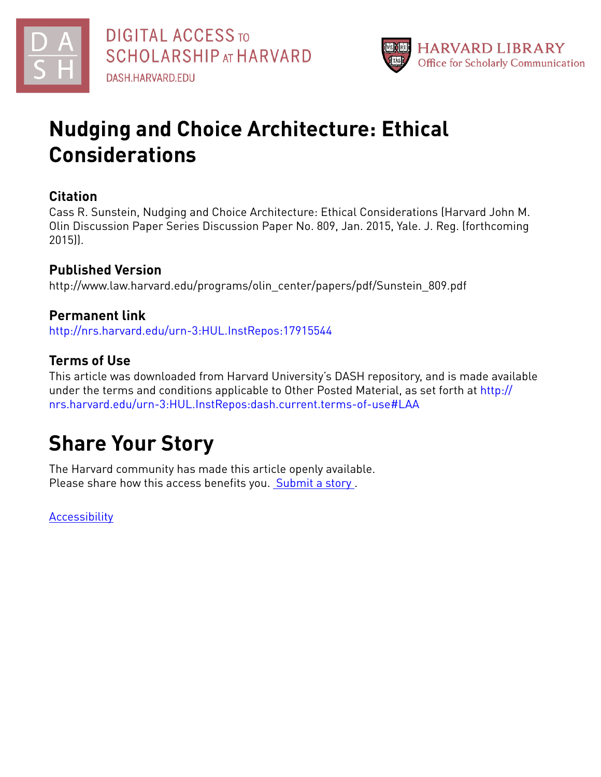



# **Nudging and Choice Architecture: Ethical Considerations**

## **Citation**

Cass R. Sunstein, Nudging and Choice Architecture: Ethical Considerations (Harvard John M. Olin Discussion Paper Series Discussion Paper No. 809, Jan. 2015, Yale. J. Reg. (forthcoming 2015)).

# **Published Version**

http://www.law.harvard.edu/programs/olin\_center/papers/pdf/Sunstein\_809.pdf

## **Permanent link**

<http://nrs.harvard.edu/urn-3:HUL.InstRepos:17915544>

# **Terms of Use**

This article was downloaded from Harvard University's DASH repository, and is made available under the terms and conditions applicable to Other Posted Material, as set forth at [http://](http://nrs.harvard.edu/urn-3:HUL.InstRepos:dash.current.terms-of-use#LAA) [nrs.harvard.edu/urn-3:HUL.InstRepos:dash.current.terms-of-use#LAA](http://nrs.harvard.edu/urn-3:HUL.InstRepos:dash.current.terms-of-use#LAA)

# **Share Your Story**

The Harvard community has made this article openly available. Please share how this access benefits you. [Submit](http://osc.hul.harvard.edu/dash/open-access-feedback?handle=&title=Nudging%20and%20Choice%20Architecture:%20Ethical%20Considerations&community=1/7&collection=1/8&owningCollection1/8&harvardAuthors=89146231930c50046c52a7d6e7f9ab5b&department) a story .

**[Accessibility](https://dash.harvard.edu/pages/accessibility)**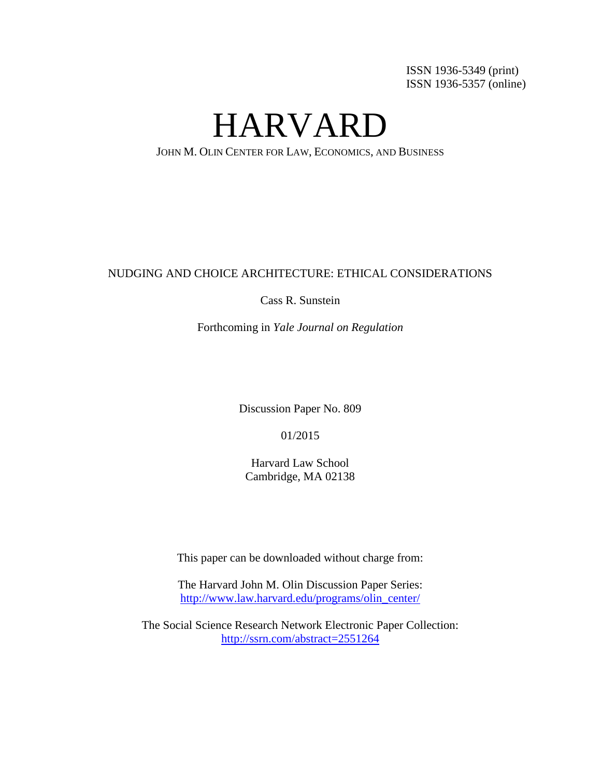ISSN 1936-5349 (print) ISSN 1936-5357 (online)

HARVARD

JOHN M. OLIN CENTER FOR LAW, ECONOMICS, AND BUSINESS

#### NUDGING AND CHOICE ARCHITECTURE: ETHICAL CONSIDERATIONS

Cass R. Sunstein

Forthcoming in *[Yale Journal on Regulation](http://papers.ssrn.com/sol3/papers.cfm?abstract_id=2551264##)*

Discussion Paper No. 809

01/2015

Harvard Law School Cambridge, MA 02138

This paper can be downloaded without charge from:

The Harvard John M. Olin Discussion Paper Series: [http://www.law.harvard.edu/programs/olin\\_center/](http://www.law.harvard.edu/programs/olin_center/)

The Social Science Research Network Electronic Paper Collection: http://ssrn.com/abstract=2551264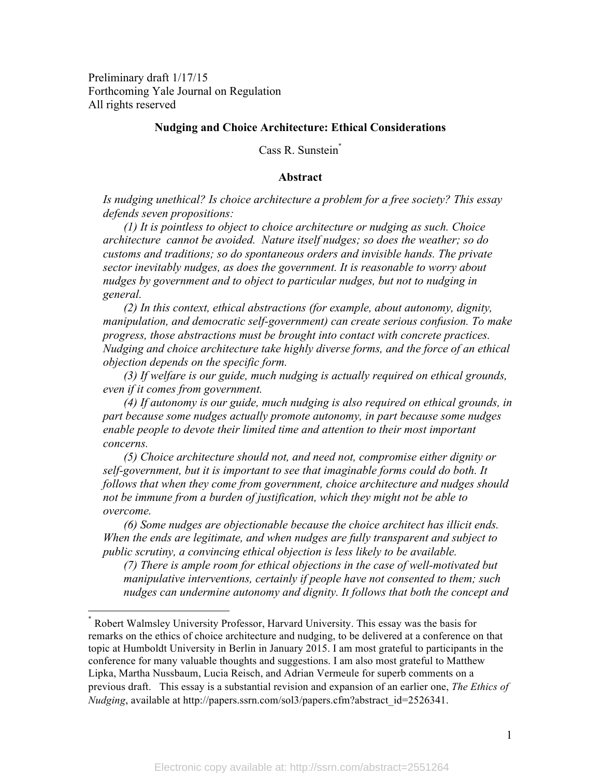Preliminary draft 1/17/15 Forthcoming Yale Journal on Regulation All rights reserved

#### **Nudging and Choice Architecture: Ethical Considerations**

Cass R. Sunstein<sup>\*</sup>

#### **Abstract**

 *Is nudging unethical? Is choice architecture a problem for a free society? This essay defends seven propositions:*

*(1) It is pointless to object to choice architecture or nudging as such. Choice architecture cannot be avoided. Nature itself nudges; so does the weather; so do customs and traditions; so do spontaneous orders and invisible hands. The private sector inevitably nudges, as does the government. It is reasonable to worry about nudges by government and to object to particular nudges, but not to nudging in general.* 

*(2) In this context, ethical abstractions (for example, about autonomy, dignity, manipulation, and democratic self-government) can create serious confusion. To make progress, those abstractions must be brought into contact with concrete practices. Nudging and choice architecture take highly diverse forms, and the force of an ethical objection depends on the specific form.* 

*(3) If welfare is our guide, much nudging is actually required on ethical grounds, even if it comes from government.* 

*(4) If autonomy is our guide, much nudging is also required on ethical grounds, in part because some nudges actually promote autonomy, in part because some nudges enable people to devote their limited time and attention to their most important concerns.* 

*(5) Choice architecture should not, and need not, compromise either dignity or self-government, but it is important to see that imaginable forms could do both. It follows that when they come from government, choice architecture and nudges should not be immune from a burden of justification, which they might not be able to overcome.*

*(6) Some nudges are objectionable because the choice architect has illicit ends. When the ends are legitimate, and when nudges are fully transparent and subject to public scrutiny, a convincing ethical objection is less likely to be available.* 

*(7) There is ample room for ethical objections in the case of well-motivated but manipulative interventions, certainly if people have not consented to them; such nudges can undermine autonomy and dignity. It follows that both the concept and* 

 <sup>\*</sup> Robert Walmsley University Professor, Harvard University. This essay was the basis for remarks on the ethics of choice architecture and nudging, to be delivered at a conference on that topic at Humboldt University in Berlin in January 2015. I am most grateful to participants in the conference for many valuable thoughts and suggestions. I am also most grateful to Matthew Lipka, Martha Nussbaum, Lucia Reisch, and Adrian Vermeule for superb comments on a previous draft. This essay is a substantial revision and expansion of an earlier one, *The Ethics of Nudging*, available at http://papers.ssrn.com/sol3/papers.cfm?abstract\_id=2526341.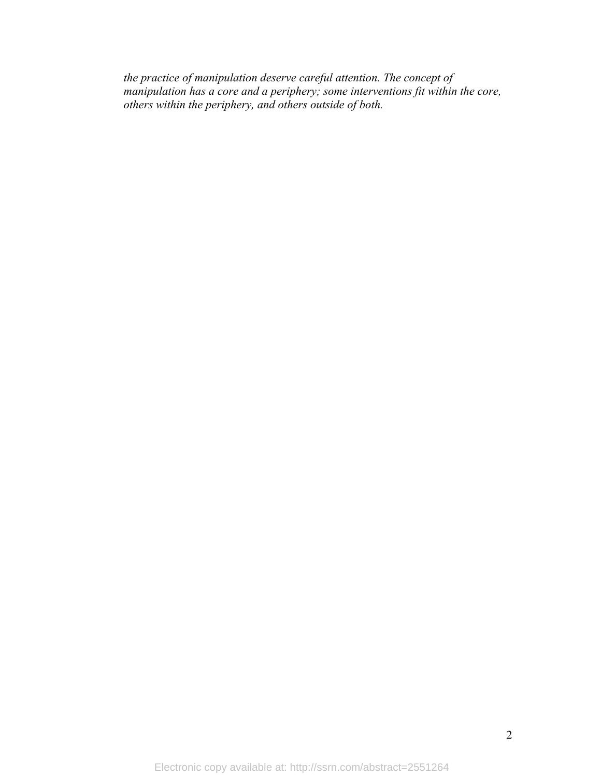*the practice of manipulation deserve careful attention. The concept of manipulation has a core and a periphery; some interventions fit within the core, others within the periphery, and others outside of both.*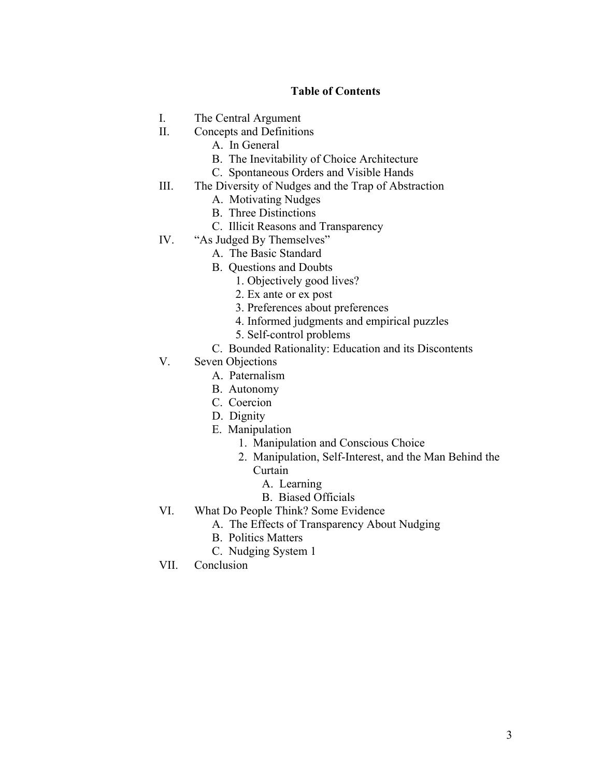#### **Table of Contents**

- I. The Central Argument
- II. Concepts and Definitions
	- A. In General
	- B. The Inevitability of Choice Architecture
	- C. Spontaneous Orders and Visible Hands
- III. The Diversity of Nudges and the Trap of Abstraction
	- A. Motivating Nudges
	- B. Three Distinctions
	- C. Illicit Reasons and Transparency
- IV. "As Judged By Themselves"
	- A. The Basic Standard
		- B. Questions and Doubts
			- 1. Objectively good lives?
			- 2. Ex ante or ex post
			- 3. Preferences about preferences
			- 4. Informed judgments and empirical puzzles
			- 5. Self-control problems
		- C. Bounded Rationality: Education and its Discontents
- V. Seven Objections
	- A. Paternalism
	- B. Autonomy
	- C. Coercion
	- D. Dignity
	- E. Manipulation
		- 1. Manipulation and Conscious Choice
		- 2. Manipulation, Self-Interest, and the Man Behind the Curtain
			- A. Learning
			- B. Biased Officials
- VI. What Do People Think? Some Evidence
	- A. The Effects of Transparency About Nudging
	- B. Politics Matters
	- C. Nudging System 1
- VII. Conclusion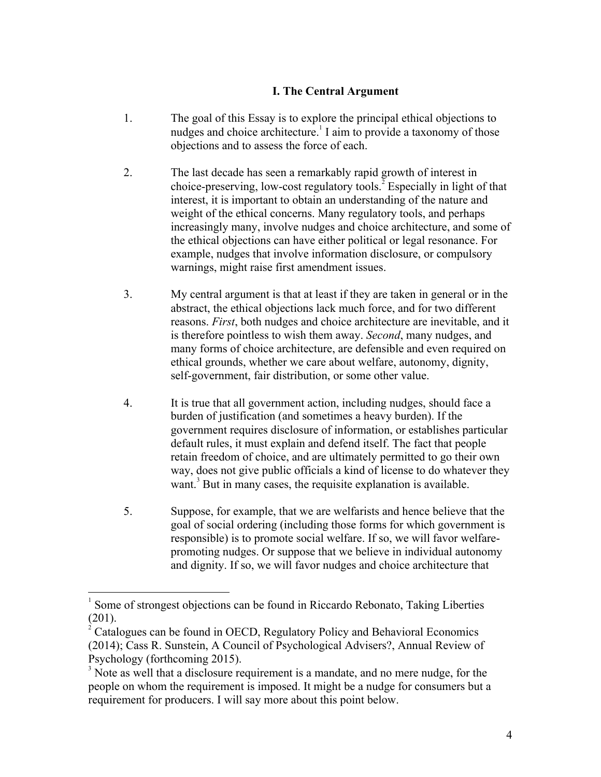### **I. The Central Argument**

- 1. The goal of this Essay is to explore the principal ethical objections to nudges and choice architecture.<sup>1</sup> I aim to provide a taxonomy of those objections and to assess the force of each.
- 2. The last decade has seen a remarkably rapid growth of interest in choice-preserving, low-cost regulatory tools.<sup>2</sup> Especially in light of that interest, it is important to obtain an understanding of the nature and weight of the ethical concerns. Many regulatory tools, and perhaps increasingly many, involve nudges and choice architecture, and some of the ethical objections can have either political or legal resonance. For example, nudges that involve information disclosure, or compulsory warnings, might raise first amendment issues.
- 3. My central argument is that at least if they are taken in general or in the abstract, the ethical objections lack much force, and for two different reasons. *First*, both nudges and choice architecture are inevitable, and it is therefore pointless to wish them away. *Second*, many nudges, and many forms of choice architecture, are defensible and even required on ethical grounds, whether we care about welfare, autonomy, dignity, self-government, fair distribution, or some other value.
- 4. It is true that all government action, including nudges, should face a burden of justification (and sometimes a heavy burden). If the government requires disclosure of information, or establishes particular default rules, it must explain and defend itself. The fact that people retain freedom of choice, and are ultimately permitted to go their own way, does not give public officials a kind of license to do whatever they want.<sup>3</sup> But in many cases, the requisite explanation is available.
- 5. Suppose, for example, that we are welfarists and hence believe that the goal of social ordering (including those forms for which government is responsible) is to promote social welfare. If so, we will favor welfarepromoting nudges. Or suppose that we believe in individual autonomy and dignity. If so, we will favor nudges and choice architecture that

 $\frac{1}{1}$ Some of strongest objections can be found in Riccardo Rebonato, Taking Liberties (201).

<sup>2</sup> Catalogues can be found in OECD, Regulatory Policy and Behavioral Economics (2014); Cass R. Sunstein, A Council of Psychological Advisers?, Annual Review of Psychology (forthcoming 2015).

<sup>&</sup>lt;sup>3</sup> Note as well that a disclosure requirement is a mandate, and no mere nudge, for the people on whom the requirement is imposed. It might be a nudge for consumers but a requirement for producers. I will say more about this point below.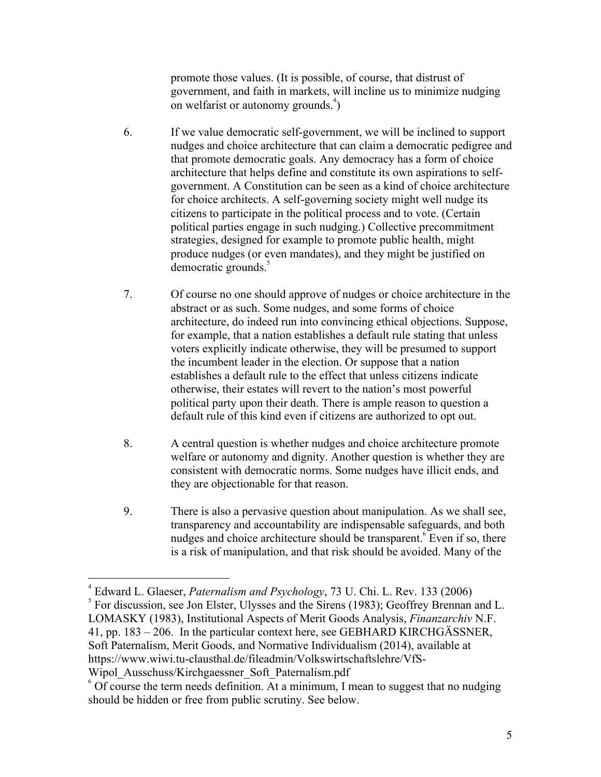promote those values. (It is possible, of course, that distrust of government, and faith in markets, will incline us to minimize nudging on welfarist or autonomy grounds. $4$ )

- 6. If we value democratic self-government, we will be inclined to support nudges and choice architecture that can claim a democratic pedigree and that promote democratic goals. Any democracy has a form of choice architecture that helps define and constitute its own aspirations to selfgovernment. A Constitution can be seen as a kind of choice architecture for choice architects. A self-governing society might well nudge its citizens to participate in the political process and to vote. (Certain political parties engage in such nudging.) Collective precommitment strategies, designed for example to promote public health, might produce nudges (or even mandates), and they might be justified on democratic grounds.<sup>5</sup>
- 7. Of course no one should approve of nudges or choice architecture in the abstract or as such. Some nudges, and some forms of choice architecture, do indeed run into convincing ethical objections. Suppose, for example, that a nation establishes a default rule stating that unless voters explicitly indicate otherwise, they will be presumed to support the incumbent leader in the election. Or suppose that a nation establishes a default rule to the effect that unless citizens indicate otherwise, their estates will revert to the nation's most powerful political party upon their death. There is ample reason to question a default rule of this kind even if citizens are authorized to opt out.
- 8. A central question is whether nudges and choice architecture promote welfare or autonomy and dignity. Another question is whether they are consistent with democratic norms. Some nudges have illicit ends, and they are objectionable for that reason.
- 9. There is also a pervasive question about manipulation. As we shall see, transparency and accountability are indispensable safeguards, and both nudges and choice architecture should be transparent. Even if so, there is a risk of manipulation, and that risk should be avoided. Many of the

 $\frac{1}{4}$ Edward L. Glaeser, *Paternalism and Psychology*, 73 U. Chi. L. Rev. 133 (2006) <sup>5</sup>

<sup>&</sup>lt;sup>5</sup> For discussion, see Jon Elster, Ulysses and the Sirens (1983); Geoffrey Brennan and L. LOMASKY (1983), Institutional Aspects of Merit Goods Analysis, *Finanzarchiv* N.F. 41, pp. 183 – 206. In the particular context here, see GEBHARD KIRCHGÄSSNER, Soft Paternalism, Merit Goods, and Normative Individualism (2014), available at https://www.wiwi.tu-clausthal.de/fileadmin/Volkswirtschaftslehre/VfS-Wipol\_Ausschuss/Kirchgaessner\_Soft\_Paternalism.pdf

 $6$  Of course the term needs definition. At a minimum, I mean to suggest that no nudging should be hidden or free from public scrutiny. See below.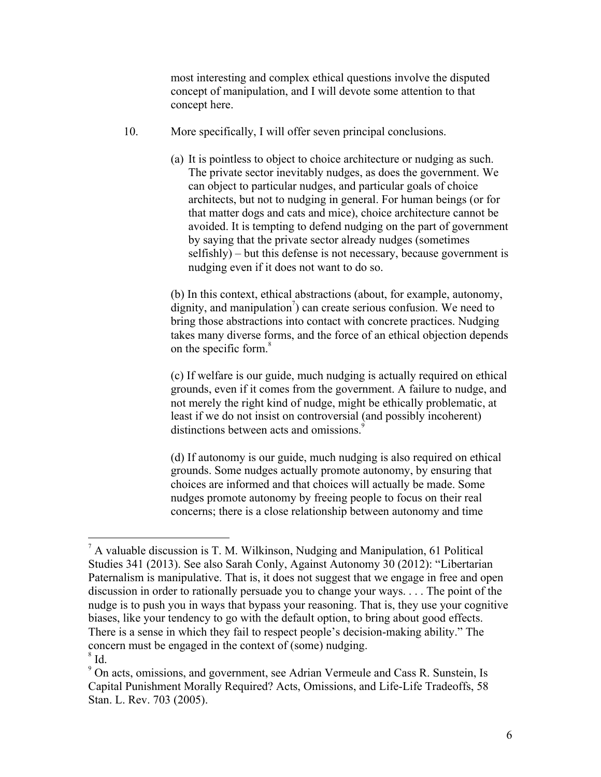most interesting and complex ethical questions involve the disputed concept of manipulation, and I will devote some attention to that concept here.

- 10. More specifically, I will offer seven principal conclusions.
	- (a) It is pointless to object to choice architecture or nudging as such. The private sector inevitably nudges, as does the government. We can object to particular nudges, and particular goals of choice architects, but not to nudging in general. For human beings (or for that matter dogs and cats and mice), choice architecture cannot be avoided. It is tempting to defend nudging on the part of government by saying that the private sector already nudges (sometimes selfishly) – but this defense is not necessary, because government is nudging even if it does not want to do so.

(b) In this context, ethical abstractions (about, for example, autonomy, dignity, and manipulation<sup>7</sup>) can create serious confusion. We need to bring those abstractions into contact with concrete practices. Nudging takes many diverse forms, and the force of an ethical objection depends on the specific form.<sup>8</sup>

(c) If welfare is our guide, much nudging is actually required on ethical grounds, even if it comes from the government. A failure to nudge, and not merely the right kind of nudge, might be ethically problematic, at least if we do not insist on controversial (and possibly incoherent) distinctions between acts and omissions.<sup>9</sup>

(d) If autonomy is our guide, much nudging is also required on ethical grounds. Some nudges actually promote autonomy, by ensuring that choices are informed and that choices will actually be made. Some nudges promote autonomy by freeing people to focus on their real concerns; there is a close relationship between autonomy and time

<sup>-&</sup>lt;br>7  $A$  valuable discussion is T. M. Wilkinson, Nudging and Manipulation, 61 Political Studies 341 (2013). See also Sarah Conly, Against Autonomy 30 (2012): "Libertarian Paternalism is manipulative. That is, it does not suggest that we engage in free and open discussion in order to rationally persuade you to change your ways. . . . The point of the nudge is to push you in ways that bypass your reasoning. That is, they use your cognitive biases, like your tendency to go with the default option, to bring about good effects. There is a sense in which they fail to respect people's decision-making ability." The concern must be engaged in the context of (some) nudging.

 ${}^{8}$  Id.

<sup>9</sup> On acts, omissions, and government, see Adrian Vermeule and Cass R. Sunstein, Is Capital Punishment Morally Required? Acts, Omissions, and Life-Life Tradeoffs, 58 Stan. L. Rev. 703 (2005).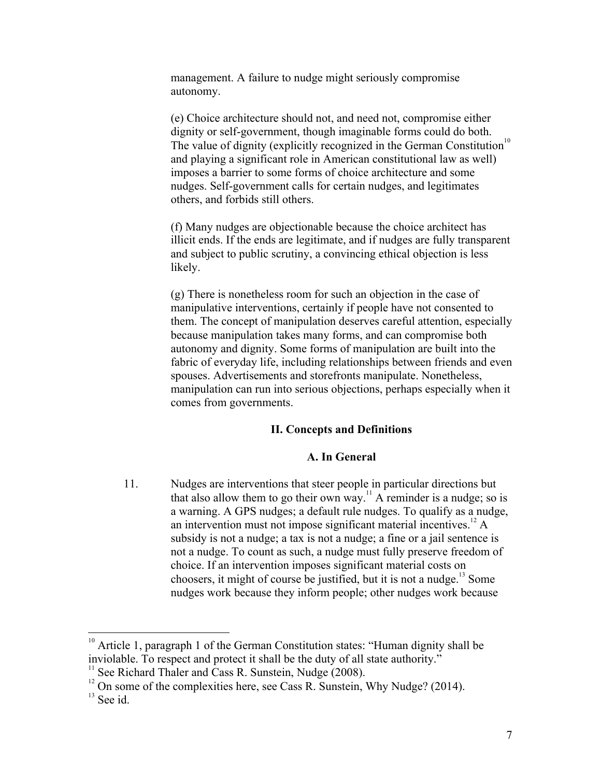management. A failure to nudge might seriously compromise autonomy.

(e) Choice architecture should not, and need not, compromise either dignity or self-government, though imaginable forms could do both. The value of dignity (explicitly recognized in the German Constitution<sup>10</sup> and playing a significant role in American constitutional law as well) imposes a barrier to some forms of choice architecture and some nudges. Self-government calls for certain nudges, and legitimates others, and forbids still others.

(f) Many nudges are objectionable because the choice architect has illicit ends. If the ends are legitimate, and if nudges are fully transparent and subject to public scrutiny, a convincing ethical objection is less likely.

(g) There is nonetheless room for such an objection in the case of manipulative interventions, certainly if people have not consented to them. The concept of manipulation deserves careful attention, especially because manipulation takes many forms, and can compromise both autonomy and dignity. Some forms of manipulation are built into the fabric of everyday life, including relationships between friends and even spouses. Advertisements and storefronts manipulate. Nonetheless, manipulation can run into serious objections, perhaps especially when it comes from governments.

#### **II. Concepts and Definitions**

#### **A. In General**

11. Nudges are interventions that steer people in particular directions but that also allow them to go their own way.<sup>11</sup> A reminder is a nudge; so is a warning. A GPS nudges; a default rule nudges. To qualify as a nudge, an intervention must not impose significant material incentives.<sup>12</sup> A subsidy is not a nudge; a tax is not a nudge; a fine or a jail sentence is not a nudge. To count as such, a nudge must fully preserve freedom of choice. If an intervention imposes significant material costs on choosers, it might of course be justified, but it is not a nudge.<sup>13</sup> Some nudges work because they inform people; other nudges work because

 $10$  Article 1, paragraph 1 of the German Constitution states: "Human dignity shall be inviolable. To respect and protect it shall be the duty of all state authority."<br><sup>11</sup> See Richard Thaler and Cass R. Sunstein, Nudge (2008).

<sup>&</sup>lt;sup>12</sup> On some of the complexities here, see Cass R. Sunstein, Why Nudge? (2014). <sup>13</sup> See id.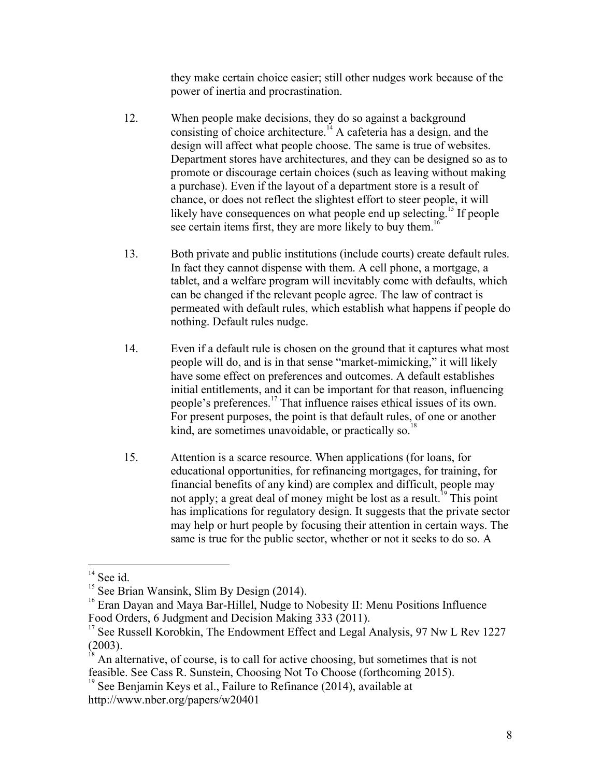they make certain choice easier; still other nudges work because of the power of inertia and procrastination.

- 12. When people make decisions, they do so against a background consisting of choice architecture.<sup>14</sup> A cafeteria has a design, and the design will affect what people choose. The same is true of websites. Department stores have architectures, and they can be designed so as to promote or discourage certain choices (such as leaving without making a purchase). Even if the layout of a department store is a result of chance, or does not reflect the slightest effort to steer people, it will likely have consequences on what people end up selecting.<sup>15</sup> If people see certain items first, they are more likely to buy them.<sup>16</sup>
- 13. Both private and public institutions (include courts) create default rules. In fact they cannot dispense with them. A cell phone, a mortgage, a tablet, and a welfare program will inevitably come with defaults, which can be changed if the relevant people agree. The law of contract is permeated with default rules, which establish what happens if people do nothing. Default rules nudge.
- 14. Even if a default rule is chosen on the ground that it captures what most people will do, and is in that sense "market-mimicking," it will likely have some effect on preferences and outcomes. A default establishes initial entitlements, and it can be important for that reason, influencing people's preferences.<sup>17</sup> That influence raises ethical issues of its own. For present purposes, the point is that default rules, of one or another kind, are sometimes unavoidable, or practically so.<sup>18</sup>
- 15. Attention is a scarce resource. When applications (for loans, for educational opportunities, for refinancing mortgages, for training, for financial benefits of any kind) are complex and difficult, people may not apply; a great deal of money might be lost as a result.<sup>19</sup> This point has implications for regulatory design. It suggests that the private sector may help or hurt people by focusing their attention in certain ways. The same is true for the public sector, whether or not it seeks to do so. A

<sup>&</sup>lt;sup>14</sup> See id.<br><sup>15</sup> See Brian Wansink, Slim By Design (2014).<br><sup>16</sup> Eran Dayan and Maya Bar-Hillel, Nudge to Nobesity II: Menu Positions Influence Food Orders, 6 Judgment and Decision Making 333 (2011).

 $17$  See Russell Korobkin, The Endowment Effect and Legal Analysis, 97 Nw L Rev 1227 (2003).

An alternative, of course, is to call for active choosing, but sometimes that is not feasible. See Cass R. Sunstein, Choosing Not To Choose (forthcoming 2015).

<sup>&</sup>lt;sup>19</sup> See Benjamin Keys et al., Failure to Refinance (2014), available at http://www.nber.org/papers/w20401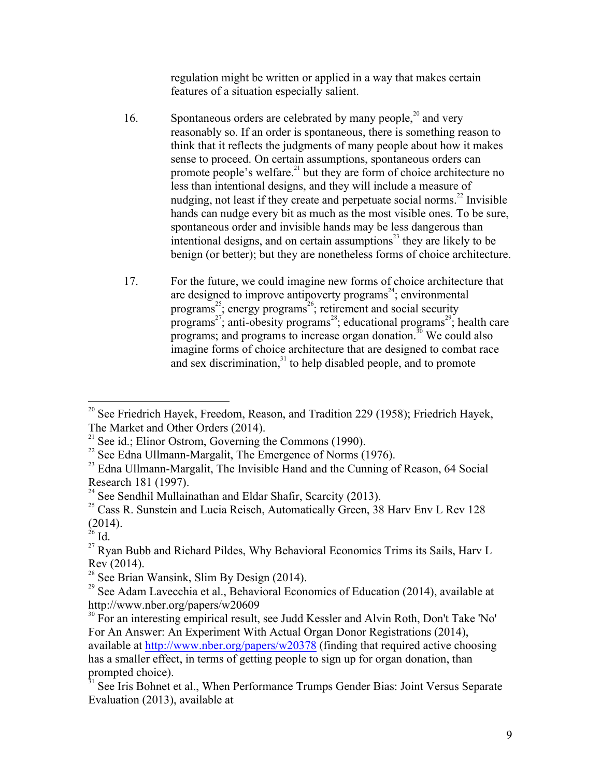regulation might be written or applied in a way that makes certain features of a situation especially salient.

- 16. Spontaneous orders are celebrated by many people,<sup>20</sup> and very reasonably so. If an order is spontaneous, there is something reason to think that it reflects the judgments of many people about how it makes sense to proceed. On certain assumptions, spontaneous orders can promote people's welfare.<sup>21</sup> but they are form of choice architecture no less than intentional designs, and they will include a measure of nudging, not least if they create and perpetuate social norms.<sup>22</sup> Invisible hands can nudge every bit as much as the most visible ones. To be sure, spontaneous order and invisible hands may be less dangerous than intentional designs, and on certain assumptions<sup>23</sup> they are likely to be benign (or better); but they are nonetheless forms of choice architecture.
- 17. For the future, we could imagine new forms of choice architecture that are designed to improve antipoverty programs<sup> $24$ </sup>; environmental programs<sup>25</sup>; energy programs<sup>26</sup>; retirement and social security programs<sup>27</sup>; anti-obesity programs<sup>28</sup>; educational programs<sup>29</sup>; health care programs; and programs to increase organ donation.<sup>30</sup> We could also imagine forms of choice architecture that are designed to combat race and sex discrimination, $31$  to help disabled people, and to promote

<sup>&</sup>lt;sup>20</sup> See Friedrich Hayek, Freedom, Reason, and Tradition 229 (1958); Friedrich Hayek, The Market and Other Orders (2014).<br><sup>21</sup> See id.; Elinor Ostrom, Governing the Commons (1990).

<sup>&</sup>lt;sup>22</sup> See Edna Ullmann-Margalit, The Emergence of Norms (1976).<br><sup>23</sup> Edna Ullmann-Margalit, The Invisible Hand and the Cunning of Reason, 64 Social Research 181 (1997).<br><sup>24</sup> See Sendhil Mullainathan and Eldar Shafir, Scarcity (2013).

<sup>&</sup>lt;sup>25</sup> Cass R. Sunstein and Lucia Reisch, Automatically Green, 38 Harv Env L Rev 128  $(2014)$ .<br><sup>26</sup> Id.

 $27$  Ryan Bubb and Richard Pildes, Why Behavioral Economics Trims its Sails, Harv L Rev (2014).<br><sup>28</sup> See Brian Wansink, Slim By Design (2014).

<sup>&</sup>lt;sup>29</sup> See Adam Lavecchia et al., Behavioral Economics of Education (2014), available at http://www.nber.org/papers/w20609

<sup>&</sup>lt;sup>30</sup> For an interesting empirical result, see Judd Kessler and Alvin Roth, Don't Take 'No' For An Answer: An Experiment With Actual Organ Donor Registrations (2014),

available at http://www.nber.org/papers/w20378 (finding that required active choosing has a smaller effect, in terms of getting people to sign up for organ donation, than prompted choice).

See Iris Bohnet et al., When Performance Trumps Gender Bias: Joint Versus Separate Evaluation (2013), available at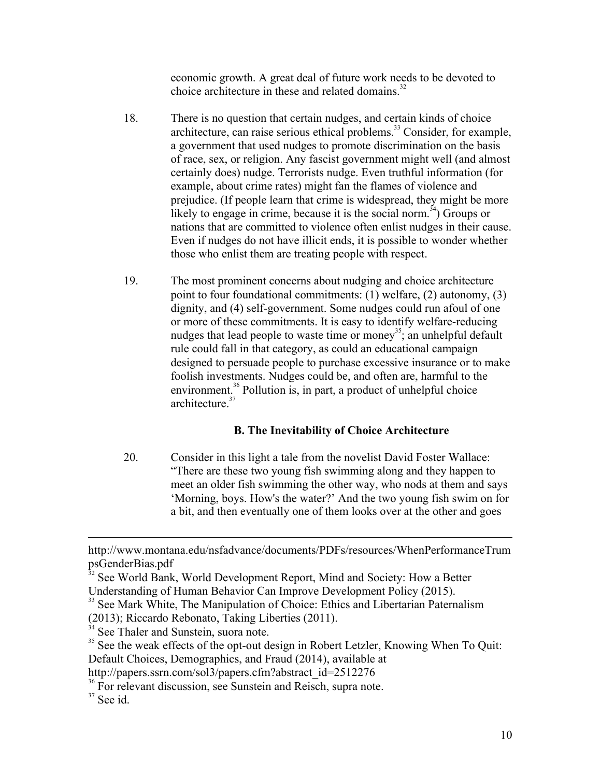economic growth. A great deal of future work needs to be devoted to choice architecture in these and related domains. $32$ 

- 18. There is no question that certain nudges, and certain kinds of choice architecture, can raise serious ethical problems.<sup>33</sup> Consider, for example, a government that used nudges to promote discrimination on the basis of race, sex, or religion. Any fascist government might well (and almost certainly does) nudge. Terrorists nudge. Even truthful information (for example, about crime rates) might fan the flames of violence and prejudice. (If people learn that crime is widespread, they might be more likely to engage in crime, because it is the social norm.<sup> $34$ </sup>) Groups or nations that are committed to violence often enlist nudges in their cause. Even if nudges do not have illicit ends, it is possible to wonder whether those who enlist them are treating people with respect.
- 19. The most prominent concerns about nudging and choice architecture point to four foundational commitments: (1) welfare, (2) autonomy, (3) dignity, and (4) self-government. Some nudges could run afoul of one or more of these commitments. It is easy to identify welfare-reducing nudges that lead people to waste time or money<sup>35</sup>; an unhelpful default rule could fall in that category, as could an educational campaign designed to persuade people to purchase excessive insurance or to make foolish investments. Nudges could be, and often are, harmful to the environment.<sup>36</sup> Pollution is, in part, a product of unhelpful choice architecture.<sup>37</sup>

## **B. The Inevitability of Choice Architecture**

20. Consider in this light a tale from the novelist David Foster Wallace: "There are these two young fish swimming along and they happen to meet an older fish swimming the other way, who nods at them and says 'Morning, boys. How's the water?' And the two young fish swim on for a bit, and then eventually one of them looks over at the other and goes

http://papers.ssrn.com/sol3/papers.cfm?abstract\_id=2512276

 $\overline{a}$ 

http://www.montana.edu/nsfadvance/documents/PDFs/resources/WhenPerformanceTrum psGenderBias.pdf

 $32$  See World Bank, World Development Report, Mind and Society: How a Better Understanding of Human Behavior Can Improve Development Policy (2015).

<sup>&</sup>lt;sup>33</sup> See Mark White, The Manipulation of Choice: Ethics and Libertarian Paternalism (2013); Riccardo Rebonato, Taking Liberties (2011).

 $34$  See Thaler and Sunstein, suora note.<br><sup>35</sup> See the weak effects of the opt-out design in Robert Letzler, Knowing When To Quit: Default Choices, Demographics, and Fraud (2014), available at

 $36 \text{ For relevant discussion, see Sunstein and Reisch, supra note.}$ <br>  $37 \text{ See id.}$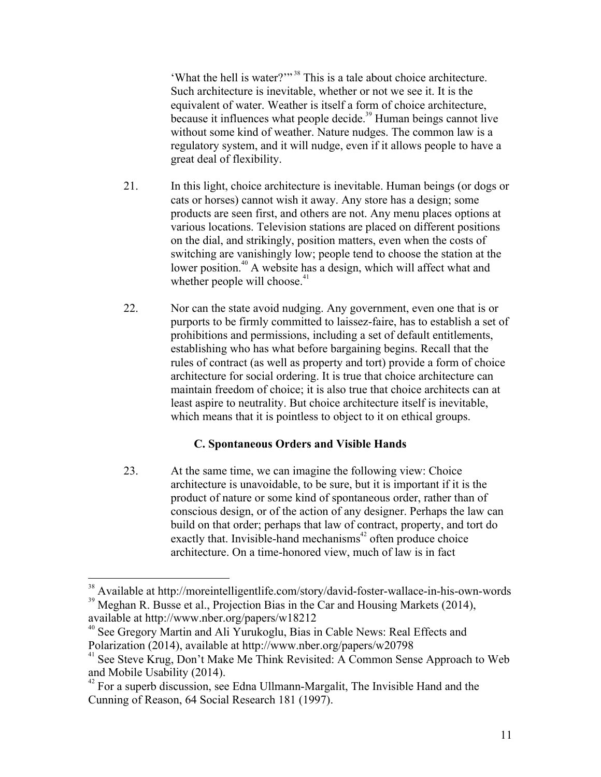'What the hell is water?'" <sup>38</sup> This is a tale about choice architecture. Such architecture is inevitable, whether or not we see it. It is the equivalent of water. Weather is itself a form of choice architecture, because it influences what people decide.<sup>39</sup> Human beings cannot live without some kind of weather. Nature nudges. The common law is a regulatory system, and it will nudge, even if it allows people to have a great deal of flexibility.

- 21. In this light, choice architecture is inevitable. Human beings (or dogs or cats or horses) cannot wish it away. Any store has a design; some products are seen first, and others are not. Any menu places options at various locations. Television stations are placed on different positions on the dial, and strikingly, position matters, even when the costs of switching are vanishingly low; people tend to choose the station at the lower position.<sup>40</sup> A website has a design, which will affect what and whether people will choose. $41$
- 22. Nor can the state avoid nudging. Any government, even one that is or purports to be firmly committed to laissez-faire, has to establish a set of prohibitions and permissions, including a set of default entitlements, establishing who has what before bargaining begins. Recall that the rules of contract (as well as property and tort) provide a form of choice architecture for social ordering. It is true that choice architecture can maintain freedom of choice; it is also true that choice architects can at least aspire to neutrality. But choice architecture itself is inevitable, which means that it is pointless to object to it on ethical groups.

## **C. Spontaneous Orders and Visible Hands**

23. At the same time, we can imagine the following view: Choice architecture is unavoidable, to be sure, but it is important if it is the product of nature or some kind of spontaneous order, rather than of conscious design, or of the action of any designer. Perhaps the law can build on that order; perhaps that law of contract, property, and tort do exactly that. Invisible-hand mechanisms<sup> $42$ </sup> often produce choice architecture. On a time-honored view, much of law is in fact

<sup>&</sup>lt;sup>38</sup> Available at http://moreintelligentlife.com/story/david-foster-wallace-in-his-own-words <sup>39</sup> Meghan R. Busse et al., Projection Bias in the Car and Housing Markets (2014), available at http://www.nber.org/papers/w182

<sup>&</sup>lt;sup>40</sup> See Gregory Martin and Ali Yurukoglu, Bias in Cable News: Real Effects and Polarization (2014), available at http://www.nber.org/papers/w20798

<sup>&</sup>lt;sup>41</sup> See Steve Krug, Don't Make Me Think Revisited: A Common Sense Approach to Web and Mobile Usability (2014).

<sup>&</sup>lt;sup>42</sup> For a superb discussion, see Edna Ullmann-Margalit, The Invisible Hand and the Cunning of Reason, 64 Social Research 181 (1997).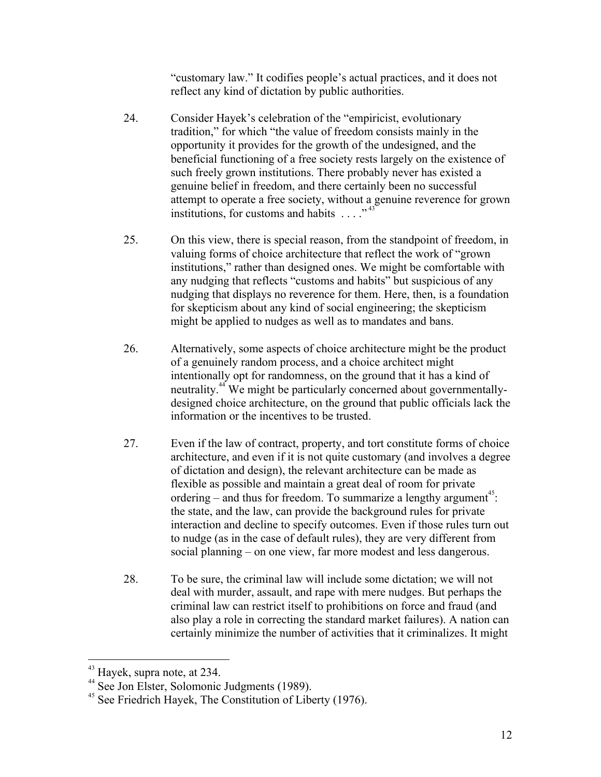"customary law." It codifies people's actual practices, and it does not reflect any kind of dictation by public authorities.

- 24. Consider Hayek's celebration of the "empiricist, evolutionary tradition," for which "the value of freedom consists mainly in the opportunity it provides for the growth of the undesigned, and the beneficial functioning of a free society rests largely on the existence of such freely grown institutions. There probably never has existed a genuine belief in freedom, and there certainly been no successful attempt to operate a free society, without a genuine reverence for grown institutions, for customs and habits  $\cdots$ <sup>43</sup>
- 25. On this view, there is special reason, from the standpoint of freedom, in valuing forms of choice architecture that reflect the work of "grown institutions," rather than designed ones. We might be comfortable with any nudging that reflects "customs and habits" but suspicious of any nudging that displays no reverence for them. Here, then, is a foundation for skepticism about any kind of social engineering; the skepticism might be applied to nudges as well as to mandates and bans.
- 26. Alternatively, some aspects of choice architecture might be the product of a genuinely random process, and a choice architect might intentionally opt for randomness, on the ground that it has a kind of neutrality.<sup>44</sup> We might be particularly concerned about governmentallydesigned choice architecture, on the ground that public officials lack the information or the incentives to be trusted.
- 27. Even if the law of contract, property, and tort constitute forms of choice architecture, and even if it is not quite customary (and involves a degree of dictation and design), the relevant architecture can be made as flexible as possible and maintain a great deal of room for private ordering – and thus for freedom. To summarize a lengthy argument<sup>45</sup>: the state, and the law, can provide the background rules for private interaction and decline to specify outcomes. Even if those rules turn out to nudge (as in the case of default rules), they are very different from social planning – on one view, far more modest and less dangerous.
- 28. To be sure, the criminal law will include some dictation; we will not deal with murder, assault, and rape with mere nudges. But perhaps the criminal law can restrict itself to prohibitions on force and fraud (and also play a role in correcting the standard market failures). A nation can certainly minimize the number of activities that it criminalizes. It might

<sup>&</sup>lt;sup>43</sup> Hayek, supra note, at 234.<br><sup>44</sup> See Jon Elster, Solomonic Judgments (1989).<br><sup>45</sup> See Friedrich Hayek, The Constitution of Liberty (1976).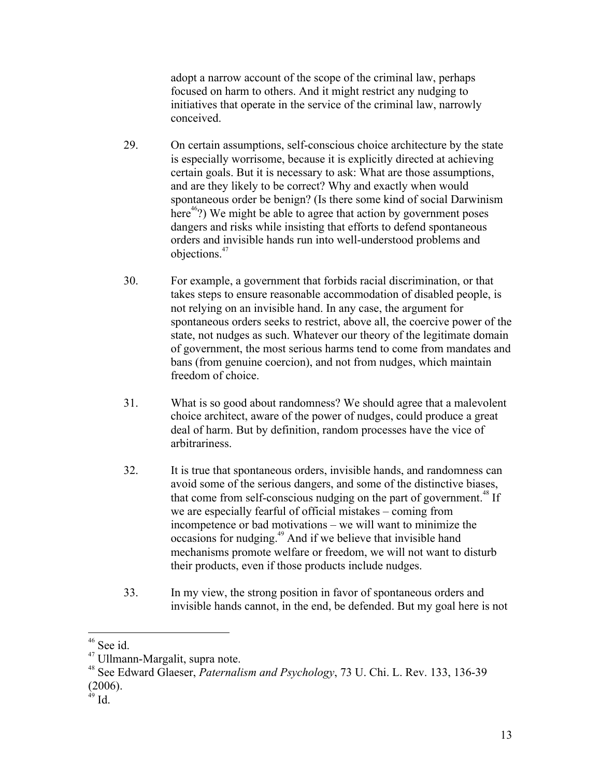adopt a narrow account of the scope of the criminal law, perhaps focused on harm to others. And it might restrict any nudging to initiatives that operate in the service of the criminal law, narrowly conceived.

- 29. On certain assumptions, self-conscious choice architecture by the state is especially worrisome, because it is explicitly directed at achieving certain goals. But it is necessary to ask: What are those assumptions, and are they likely to be correct? Why and exactly when would spontaneous order be benign? (Is there some kind of social Darwinism here<sup>46</sup>?) We might be able to agree that action by government poses dangers and risks while insisting that efforts to defend spontaneous orders and invisible hands run into well-understood problems and objections.47
- 30. For example, a government that forbids racial discrimination, or that takes steps to ensure reasonable accommodation of disabled people, is not relying on an invisible hand. In any case, the argument for spontaneous orders seeks to restrict, above all, the coercive power of the state, not nudges as such. Whatever our theory of the legitimate domain of government, the most serious harms tend to come from mandates and bans (from genuine coercion), and not from nudges, which maintain freedom of choice.
- 31. What is so good about randomness? We should agree that a malevolent choice architect, aware of the power of nudges, could produce a great deal of harm. But by definition, random processes have the vice of arbitrariness.
- 32. It is true that spontaneous orders, invisible hands, and randomness can avoid some of the serious dangers, and some of the distinctive biases, that come from self-conscious nudging on the part of government.<sup>48</sup> If we are especially fearful of official mistakes – coming from incompetence or bad motivations – we will want to minimize the occasions for nudging.49 And if we believe that invisible hand mechanisms promote welfare or freedom, we will not want to disturb their products, even if those products include nudges.
- 33. In my view, the strong position in favor of spontaneous orders and invisible hands cannot, in the end, be defended. But my goal here is not

<sup>&</sup>lt;sup>46</sup> See id.<br><sup>47</sup> Ullmann-Margalit, supra note.<br><sup>48</sup> See Edward Glaeser, *Paternalism and Psychology*, 73 U. Chi. L. Rev. 133, 136-39 (2006).

 $^{49}$  Id.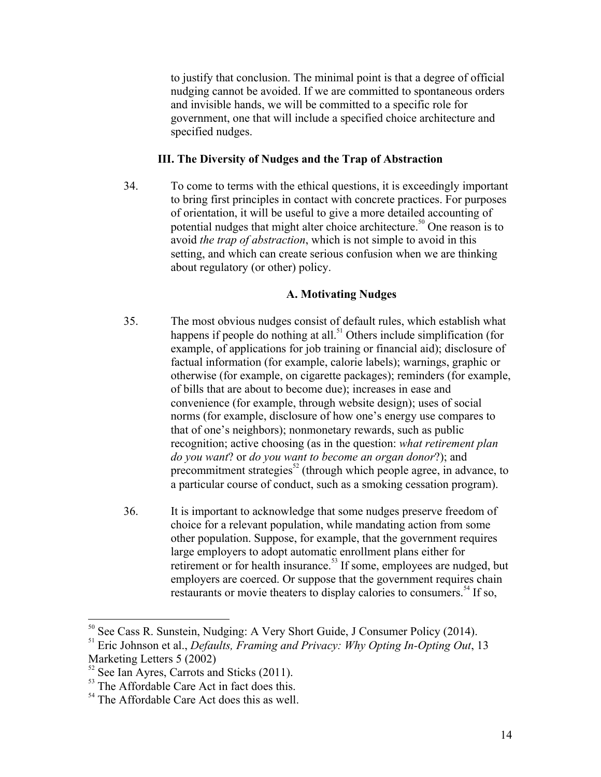to justify that conclusion. The minimal point is that a degree of official nudging cannot be avoided. If we are committed to spontaneous orders and invisible hands, we will be committed to a specific role for government, one that will include a specified choice architecture and specified nudges.

#### **III. The Diversity of Nudges and the Trap of Abstraction**

34. To come to terms with the ethical questions, it is exceedingly important to bring first principles in contact with concrete practices. For purposes of orientation, it will be useful to give a more detailed accounting of potential nudges that might alter choice architecture.<sup>50</sup> One reason is to avoid *the trap of abstraction*, which is not simple to avoid in this setting, and which can create serious confusion when we are thinking about regulatory (or other) policy.

## **A. Motivating Nudges**

- 35. The most obvious nudges consist of default rules, which establish what happens if people do nothing at all.<sup>51</sup> Others include simplification (for example, of applications for job training or financial aid); disclosure of factual information (for example, calorie labels); warnings, graphic or otherwise (for example, on cigarette packages); reminders (for example, of bills that are about to become due); increases in ease and convenience (for example, through website design); uses of social norms (for example, disclosure of how one's energy use compares to that of one's neighbors); nonmonetary rewards, such as public recognition; active choosing (as in the question: *what retirement plan do you want*? or *do you want to become an organ donor*?); and precommitment strategies<sup>52</sup> (through which people agree, in advance, to a particular course of conduct, such as a smoking cessation program).
- 36. It is important to acknowledge that some nudges preserve freedom of choice for a relevant population, while mandating action from some other population. Suppose, for example, that the government requires large employers to adopt automatic enrollment plans either for retirement or for health insurance.<sup>53</sup> If some, employees are nudged, but employers are coerced. Or suppose that the government requires chain restaurants or movie theaters to display calories to consumers.<sup>54</sup> If so,

<sup>&</sup>lt;sup>50</sup> See Cass R. Sunstein, Nudging: A Very Short Guide, J Consumer Policy (2014).<br><sup>51</sup> Eric Johnson et al., *Defaults, Framing and Privacy: Why Opting In-Opting Out*, 13

Marketing Letters 5 (2002)

 $53 \text{ See}$  Ian Ayres, Carrots and Sticks (2011).<br> $53 \text{ The Affordable Care Act in fact does this.}$ <br> $54 \text{ The Affordable Care Act does this as well.}$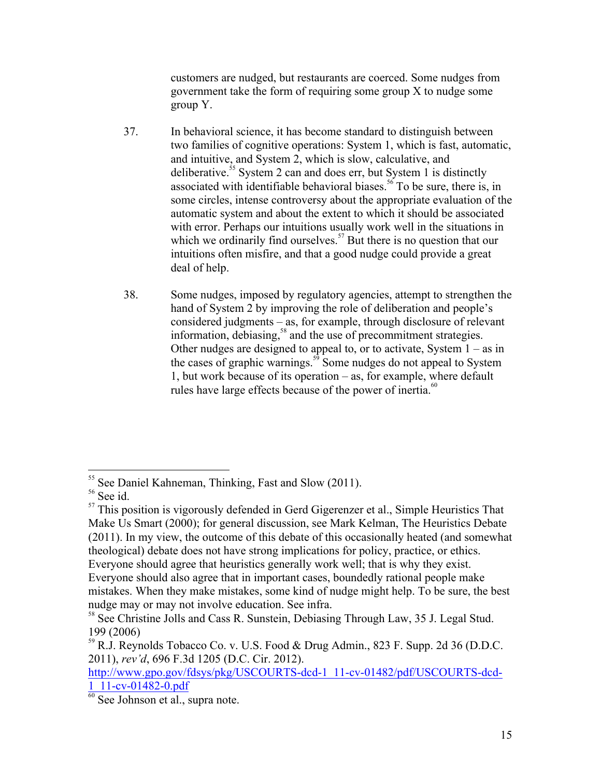customers are nudged, but restaurants are coerced. Some nudges from government take the form of requiring some group X to nudge some group Y.

- 37. In behavioral science, it has become standard to distinguish between two families of cognitive operations: System 1, which is fast, automatic, and intuitive, and System 2, which is slow, calculative, and deliberative.55 System 2 can and does err, but System 1 is distinctly associated with identifiable behavioral biases.<sup>56</sup> To be sure, there is, in some circles, intense controversy about the appropriate evaluation of the automatic system and about the extent to which it should be associated with error. Perhaps our intuitions usually work well in the situations in which we ordinarily find ourselves.<sup>57</sup> But there is no question that our intuitions often misfire, and that a good nudge could provide a great deal of help.
- 38. Some nudges, imposed by regulatory agencies, attempt to strengthen the hand of System 2 by improving the role of deliberation and people's considered judgments – as, for example, through disclosure of relevant information, debiasing,<sup>58</sup> and the use of precommitment strategies. Other nudges are designed to appeal to, or to activate, System  $1 - as$  in the cases of graphic warnings. $5^{\circ}$  Some nudges do not appeal to System 1, but work because of its operation – as, for example, where default rules have large effects because of the power of inertia. $60$

http://www.gpo.gov/fdsys/pkg/USCOURTS-dcd-1\_11-cv-01482/pdf/USCOURTS-dcd-1\_11-cv-01482-0.pdf

<sup>&</sup>lt;sup>55</sup> See Daniel Kahneman, Thinking, Fast and Slow (2011).<br><sup>56</sup> See id.<br><sup>57</sup> This position is vigorously defended in Gerd Gigerenzer et al., Simple Heuristics That Make Us Smart (2000); for general discussion, see Mark Kelman, The Heuristics Debate (2011). In my view, the outcome of this debate of this occasionally heated (and somewhat theological) debate does not have strong implications for policy, practice, or ethics. Everyone should agree that heuristics generally work well; that is why they exist. Everyone should also agree that in important cases, boundedly rational people make mistakes. When they make mistakes, some kind of nudge might help. To be sure, the best nudge may or may not involve education. See infra.

<sup>&</sup>lt;sup>58</sup> See Christine Jolls and Cass R. Sunstein, Debiasing Through Law, 35 J. Legal Stud.

<sup>199</sup> (2006) <sup>59</sup> R.J. Reynolds Tobacco Co. v. U.S. Food & Drug Admin., 823 F. Supp. 2d 36 (D.D.C. 2011), *rev'd*, 696 F.3d 1205 (D.C. Cir. 2012).

 $\frac{1}{60}$  See Johnson et al., supra note.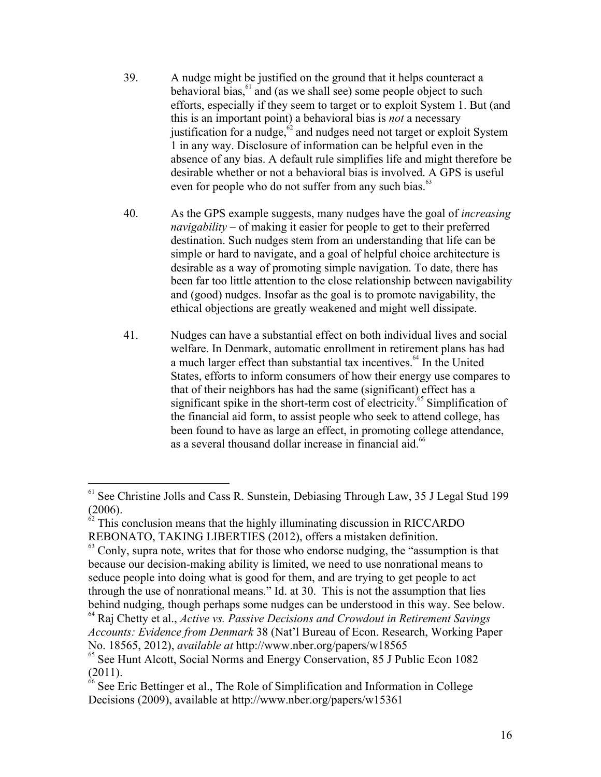- 39. A nudge might be justified on the ground that it helps counteract a behavioral bias, $61$  and (as we shall see) some people object to such efforts, especially if they seem to target or to exploit System 1. But (and this is an important point) a behavioral bias is *not* a necessary justification for a nudge, $62$  and nudges need not target or exploit System 1 in any way. Disclosure of information can be helpful even in the absence of any bias. A default rule simplifies life and might therefore be desirable whether or not a behavioral bias is involved. A GPS is useful even for people who do not suffer from any such bias.<sup>63</sup>
- 40. As the GPS example suggests, many nudges have the goal of *increasing navigability* – of making it easier for people to get to their preferred destination. Such nudges stem from an understanding that life can be simple or hard to navigate, and a goal of helpful choice architecture is desirable as a way of promoting simple navigation. To date, there has been far too little attention to the close relationship between navigability and (good) nudges. Insofar as the goal is to promote navigability, the ethical objections are greatly weakened and might well dissipate.
- 41. Nudges can have a substantial effect on both individual lives and social welfare. In Denmark, automatic enrollment in retirement plans has had a much larger effect than substantial tax incentives.<sup>64</sup> In the United States, efforts to inform consumers of how their energy use compares to that of their neighbors has had the same (significant) effect has a significant spike in the short-term cost of electricity.<sup>65</sup> Simplification of the financial aid form, to assist people who seek to attend college, has been found to have as large an effect, in promoting college attendance, as a several thousand dollar increase in financial aid.<sup>66</sup>

<sup>&</sup>lt;sup>61</sup> See Christine Jolls and Cass R. Sunstein, Debiasing Through Law, 35 J Legal Stud 199 (2006).

 $\frac{62}{62}$  This conclusion means that the highly illuminating discussion in RICCARDO REBONATO, TAKING LIBERTIES (2012), offers a mistaken definition.

 $63$  Conly, supra note, writes that for those who endorse nudging, the "assumption is that because our decision-making ability is limited, we need to use nonrational means to seduce people into doing what is good for them, and are trying to get people to act through the use of nonrational means." Id. at 30. This is not the assumption that lies behind nudging, though perhaps some nudges can be understood in this way. See below.

<sup>64</sup> Raj Chetty et al., *Active vs. Passive Decisions and Crowdout in Retirement Savings Accounts: Evidence from Denmark* 38 (Nat'l Bureau of Econ. Research, Working Paper

<sup>&</sup>lt;sup>65</sup> See Hunt Alcott, Social Norms and Energy Conservation, 85 J Public Econ 1082 (2011).

<sup>&</sup>lt;sup>66</sup> See Eric Bettinger et al., The Role of Simplification and Information in College Decisions (2009), available at http://www.nber.org/papers/w15361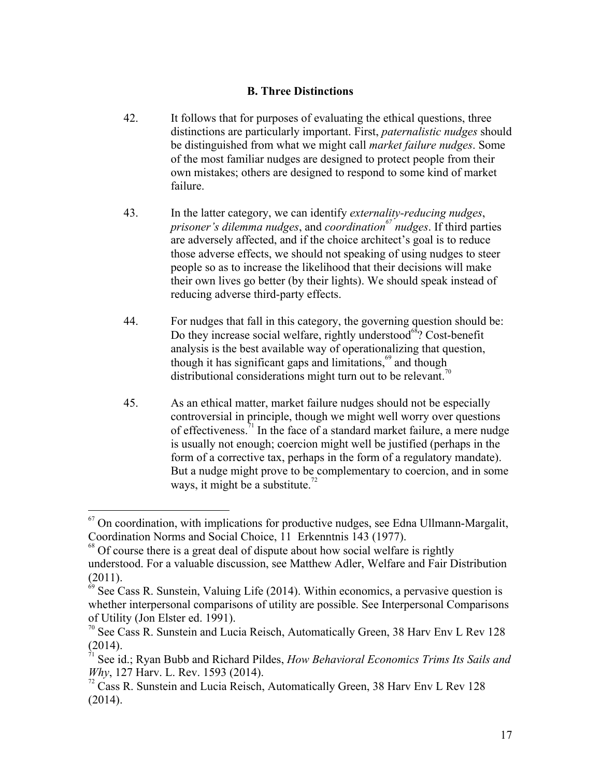### **B. Three Distinctions**

- 42. It follows that for purposes of evaluating the ethical questions, three distinctions are particularly important. First, *paternalistic nudges* should be distinguished from what we might call *market failure nudges*. Some of the most familiar nudges are designed to protect people from their own mistakes; others are designed to respond to some kind of market failure.
- 43. In the latter category, we can identify *externality-reducing nudges*, *prisoner's dilemma nudges, and coordination nudges.* If third parties are adversely affected, and if the choice architect's goal is to reduce those adverse effects, we should not speaking of using nudges to steer people so as to increase the likelihood that their decisions will make their own lives go better (by their lights). We should speak instead of reducing adverse third-party effects.
- 44. For nudges that fall in this category, the governing question should be: Do they increase social welfare, rightly understood $68$ ? Cost-benefit analysis is the best available way of operationalizing that question, though it has significant gaps and limitations,<sup>69</sup> and though distributional considerations might turn out to be relevant.<sup>70</sup>
- 45. As an ethical matter, market failure nudges should not be especially controversial in principle, though we might well worry over questions of effectiveness. $\frac{1}{1}$  In the face of a standard market failure, a mere nudge is usually not enough; coercion might well be justified (perhaps in the form of a corrective tax, perhaps in the form of a regulatory mandate). But a nudge might prove to be complementary to coercion, and in some ways, it might be a substitute.<sup>72</sup>

 $67$  On coordination, with implications for productive nudges, see Edna Ullmann-Margalit, Coordination Norms and Social Choice, 11 Erkenntnis 143 (1977).<br><sup>68</sup> Of course there is a great deal of dispute about how social welfare is rightly

understood. For a valuable discussion, see Matthew Adler, Welfare and Fair Distribution (2011).

See Cass R. Sunstein, Valuing Life (2014). Within economics, a pervasive question is whether interpersonal comparisons of utility are possible. See Interpersonal Comparisons of Utility (Jon Elster ed. 1991).

<sup>&</sup>lt;sup>70</sup> See Cass R. Sunstein and Lucia Reisch, Automatically Green, 38 Harv Env L Rev 128 (2014).

<sup>71</sup> See id.; Ryan Bubb and Richard Pildes, *How Behavioral Economics Trims Its Sails and Why*, 127 Harv. L. Rev. 1593 (2014).<br><sup>72</sup> Cass R. Sunstein and Lucia Reisch, Automatically Green, 38 Harv Env L Rev 128

<sup>(2014).</sup>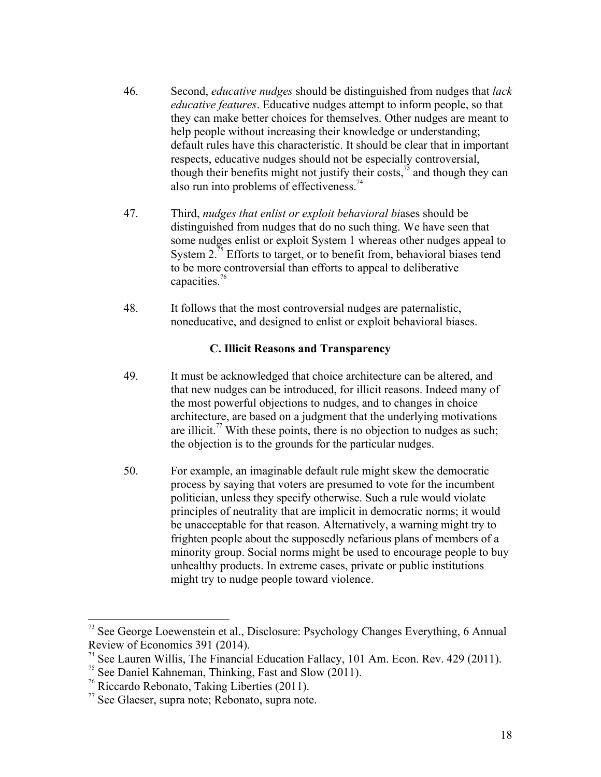- 46. Second, *educative nudges* should be distinguished from nudges that *lack educative features*. Educative nudges attempt to inform people, so that they can make better choices for themselves. Other nudges are meant to help people without increasing their knowledge or understanding; default rules have this characteristic. It should be clear that in important respects, educative nudges should not be especially controversial, though their benefits might not justify their costs, $^{73}$  and though they can also run into problems of effectiveness. $74$
- 47. Third, *nudges that enlist or exploit behavioral bi*ases should be distinguished from nudges that do no such thing. We have seen that some nudges enlist or exploit System 1 whereas other nudges appeal to System  $2^{75}$  Efforts to target, or to benefit from, behavioral biases tend to be more controversial than efforts to appeal to deliberative capacities.<sup>76</sup>
- 48. It follows that the most controversial nudges are paternalistic, noneducative, and designed to enlist or exploit behavioral biases.

## **C. Illicit Reasons and Transparency**

- 49. It must be acknowledged that choice architecture can be altered, and that new nudges can be introduced, for illicit reasons. Indeed many of the most powerful objections to nudges, and to changes in choice architecture, are based on a judgment that the underlying motivations are illicit.<sup>77</sup> With these points, there is no objection to nudges as such; the objection is to the grounds for the particular nudges.
- 50. For example, an imaginable default rule might skew the democratic process by saying that voters are presumed to vote for the incumbent politician, unless they specify otherwise. Such a rule would violate principles of neutrality that are implicit in democratic norms; it would be unacceptable for that reason. Alternatively, a warning might try to frighten people about the supposedly nefarious plans of members of a minority group. Social norms might be used to encourage people to buy unhealthy products. In extreme cases, private or public institutions might try to nudge people toward violence.

 <sup>73</sup> See George Loewenstein et al., Disclosure: Psychology Changes Everything, 6 Annual Review of Economics 391 (2014).

<sup>&</sup>lt;sup>74</sup> See Lauren Willis, The Financial Education Fallacy, 101 Am. Econ. Rev. 429 (2011).<br><sup>75</sup> See Daniel Kahneman, Thinking, Fast and Slow (2011).<br><sup>76</sup> Riccardo Rebonato, Taking Liberties (2011).<br><sup>77</sup> See Glaeser, supra no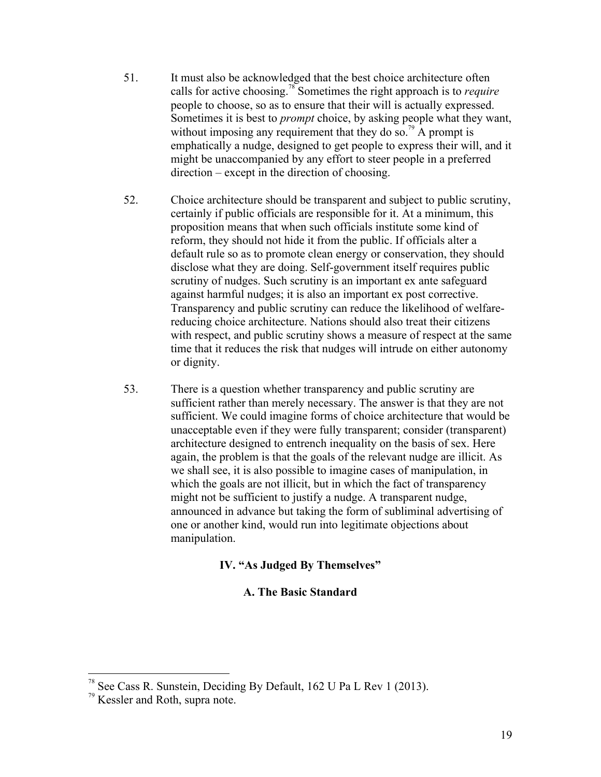- 51. It must also be acknowledged that the best choice architecture often calls for active choosing. <sup>78</sup> Sometimes the right approach is to *require* people to choose, so as to ensure that their will is actually expressed. Sometimes it is best to *prompt* choice, by asking people what they want, without imposing any requirement that they do so.<sup>79</sup> A prompt is emphatically a nudge, designed to get people to express their will, and it might be unaccompanied by any effort to steer people in a preferred direction – except in the direction of choosing.
- 52. Choice architecture should be transparent and subject to public scrutiny, certainly if public officials are responsible for it. At a minimum, this proposition means that when such officials institute some kind of reform, they should not hide it from the public. If officials alter a default rule so as to promote clean energy or conservation, they should disclose what they are doing. Self-government itself requires public scrutiny of nudges. Such scrutiny is an important ex ante safeguard against harmful nudges; it is also an important ex post corrective. Transparency and public scrutiny can reduce the likelihood of welfarereducing choice architecture. Nations should also treat their citizens with respect, and public scrutiny shows a measure of respect at the same time that it reduces the risk that nudges will intrude on either autonomy or dignity.
- 53. There is a question whether transparency and public scrutiny are sufficient rather than merely necessary. The answer is that they are not sufficient. We could imagine forms of choice architecture that would be unacceptable even if they were fully transparent; consider (transparent) architecture designed to entrench inequality on the basis of sex. Here again, the problem is that the goals of the relevant nudge are illicit. As we shall see, it is also possible to imagine cases of manipulation, in which the goals are not illicit, but in which the fact of transparency might not be sufficient to justify a nudge. A transparent nudge, announced in advance but taking the form of subliminal advertising of one or another kind, would run into legitimate objections about manipulation.

## **IV. "As Judged By Themselves"**

#### **A. The Basic Standard**

<sup>&</sup>lt;sup>78</sup> See Cass R. Sunstein, Deciding By Default, 162 U Pa L Rev 1 (2013).<br><sup>79</sup> Kessler and Roth, supra note.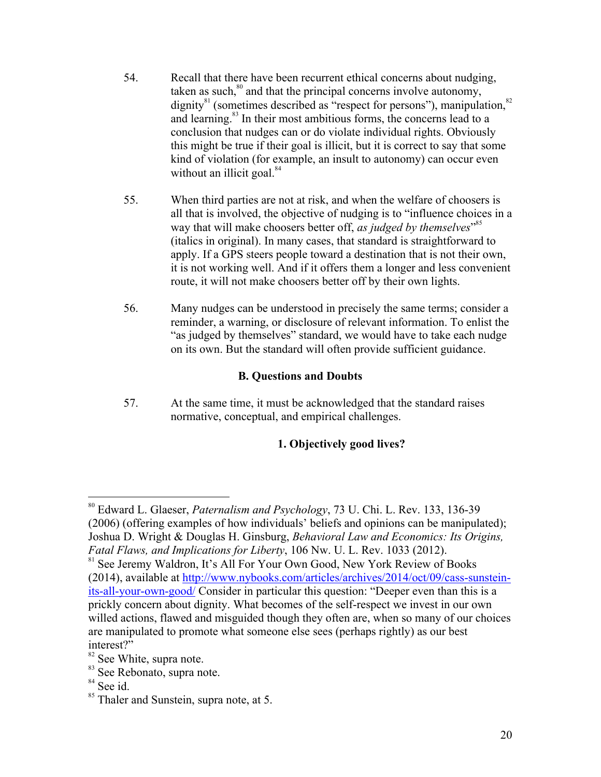- 54. Recall that there have been recurrent ethical concerns about nudging, taken as such, $^{80}$  and that the principal concerns involve autonomy, dignity ${}^{81}$  (sometimes described as "respect for persons"), manipulation,  ${}^{82}$ and learning.<sup>83</sup> In their most ambitious forms, the concerns lead to a conclusion that nudges can or do violate individual rights. Obviously this might be true if their goal is illicit, but it is correct to say that some kind of violation (for example, an insult to autonomy) can occur even without an illicit goal. $84$
- 55. When third parties are not at risk, and when the welfare of choosers is all that is involved, the objective of nudging is to "influence choices in a way that will make choosers better off, *as judged by themselves*"<sup>85</sup> (italics in original). In many cases, that standard is straightforward to apply. If a GPS steers people toward a destination that is not their own, it is not working well. And if it offers them a longer and less convenient route, it will not make choosers better off by their own lights.
- 56. Many nudges can be understood in precisely the same terms; consider a reminder, a warning, or disclosure of relevant information. To enlist the "as judged by themselves" standard, we would have to take each nudge on its own. But the standard will often provide sufficient guidance.

## **B. Questions and Doubts**

57. At the same time, it must be acknowledged that the standard raises normative, conceptual, and empirical challenges.

## **1. Objectively good lives?**

 <sup>80</sup> Edward L. Glaeser, *Paternalism and Psychology*, 73 U. Chi. L. Rev. 133, 136-39 (2006) (offering examples of how individuals' beliefs and opinions can be manipulated); Joshua D. Wright & Douglas H. Ginsburg, *Behavioral Law and Economics: Its Origins, Fatal Flaws, and Implications for Liberty*, 106 Nw. U. L. Rev. 1033 (2012).

<sup>&</sup>lt;sup>81</sup> See Jeremy Waldron, It's All For Your Own Good, New York Review of Books (2014), available at http://www.nybooks.com/articles/archives/2014/oct/09/cass-sunsteinits-all-your-own-good/ Consider in particular this question: "Deeper even than this is a prickly concern about dignity. What becomes of the self-respect we invest in our own willed actions, flawed and misguided though they often are, when so many of our choices are manipulated to promote what someone else sees (perhaps rightly) as our best interest?"<br><sup>82</sup> See White, supra note.

<sup>&</sup>lt;sup>83</sup> See Rebonato, supra note.<br><sup>84</sup> See id. <sup>85</sup> Thaler and Sunstein, supra note, at 5.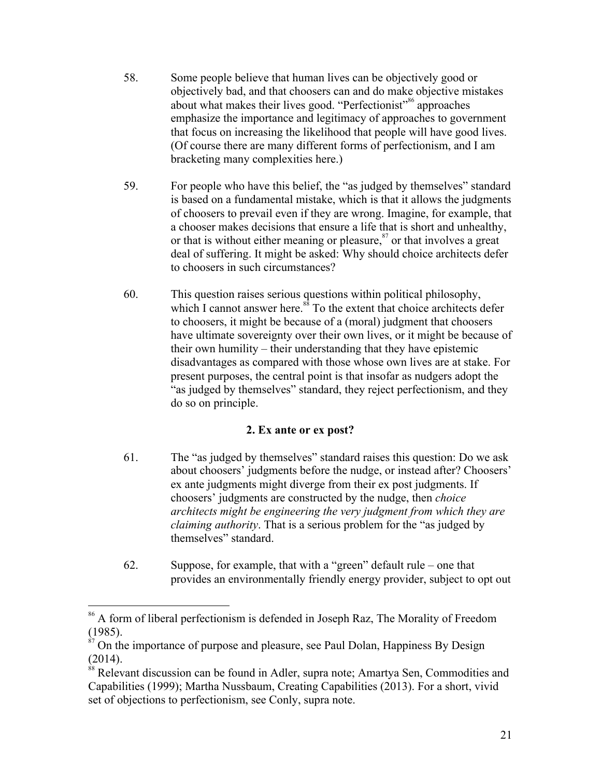- 58. Some people believe that human lives can be objectively good or objectively bad, and that choosers can and do make objective mistakes about what makes their lives good. "Perfectionist"<sup>86</sup> approaches emphasize the importance and legitimacy of approaches to government that focus on increasing the likelihood that people will have good lives. (Of course there are many different forms of perfectionism, and I am bracketing many complexities here.)
- 59. For people who have this belief, the "as judged by themselves" standard is based on a fundamental mistake, which is that it allows the judgments of choosers to prevail even if they are wrong. Imagine, for example, that a chooser makes decisions that ensure a life that is short and unhealthy, or that is without either meaning or pleasure, $s^2$  or that involves a great deal of suffering. It might be asked: Why should choice architects defer to choosers in such circumstances?
- 60. This question raises serious questions within political philosophy, which I cannot answer here. $88 \text{ T}$  To the extent that choice architects defer to choosers, it might be because of a (moral) judgment that choosers have ultimate sovereignty over their own lives, or it might be because of their own humility – their understanding that they have epistemic disadvantages as compared with those whose own lives are at stake. For present purposes, the central point is that insofar as nudgers adopt the "as judged by themselves" standard, they reject perfectionism, and they do so on principle.

## **2. Ex ante or ex post?**

- 61. The "as judged by themselves" standard raises this question: Do we ask about choosers' judgments before the nudge, or instead after? Choosers' ex ante judgments might diverge from their ex post judgments. If choosers' judgments are constructed by the nudge, then *choice architects might be engineering the very judgment from which they are claiming authority*. That is a serious problem for the "as judged by themselves" standard.
- 62. Suppose, for example, that with a "green" default rule one that provides an environmentally friendly energy provider, subject to opt out

<sup>&</sup>lt;sup>86</sup> A form of liberal perfectionism is defended in Joseph Raz, The Morality of Freedom (1985).

<sup>87</sup> On the importance of purpose and pleasure, see Paul Dolan, Happiness By Design (2014).

<sup>88</sup> Relevant discussion can be found in Adler, supra note; Amartya Sen, Commodities and Capabilities (1999); Martha Nussbaum, Creating Capabilities (2013). For a short, vivid set of objections to perfectionism, see Conly, supra note.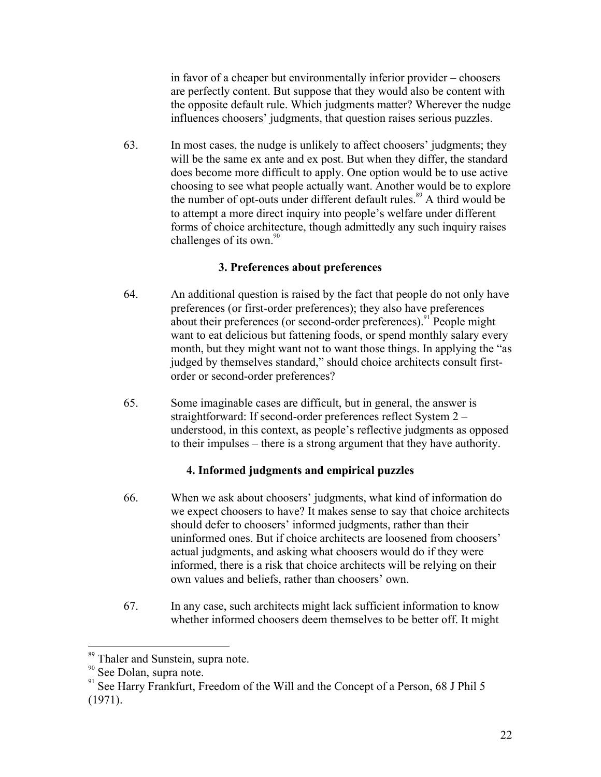in favor of a cheaper but environmentally inferior provider – choosers are perfectly content. But suppose that they would also be content with the opposite default rule. Which judgments matter? Wherever the nudge influences choosers' judgments, that question raises serious puzzles.

63. In most cases, the nudge is unlikely to affect choosers' judgments; they will be the same ex ante and ex post. But when they differ, the standard does become more difficult to apply. One option would be to use active choosing to see what people actually want. Another would be to explore the number of opt-outs under different default rules.<sup>89</sup> A third would be to attempt a more direct inquiry into people's welfare under different forms of choice architecture, though admittedly any such inquiry raises challenges of its own. $^{90}$ 

## **3. Preferences about preferences**

- 64. An additional question is raised by the fact that people do not only have preferences (or first-order preferences); they also have preferences about their preferences (or second-order preferences).<sup>91</sup> People might want to eat delicious but fattening foods, or spend monthly salary every month, but they might want not to want those things. In applying the "as judged by themselves standard," should choice architects consult firstorder or second-order preferences?
- 65. Some imaginable cases are difficult, but in general, the answer is straightforward: If second-order preferences reflect System 2 – understood, in this context, as people's reflective judgments as opposed to their impulses – there is a strong argument that they have authority.

## **4. Informed judgments and empirical puzzles**

- 66. When we ask about choosers' judgments, what kind of information do we expect choosers to have? It makes sense to say that choice architects should defer to choosers' informed judgments, rather than their uninformed ones. But if choice architects are loosened from choosers' actual judgments, and asking what choosers would do if they were informed, there is a risk that choice architects will be relying on their own values and beliefs, rather than choosers' own.
- 67. In any case, such architects might lack sufficient information to know whether informed choosers deem themselves to be better off. It might

<sup>&</sup>lt;sup>89</sup> Thaler and Sunstein, supra note.<br><sup>90</sup> See Dolan, supra note.<br><sup>91</sup> See Harry Frankfurt, Freedom of the Will and the Concept of a Person, 68 J Phil 5 (1971).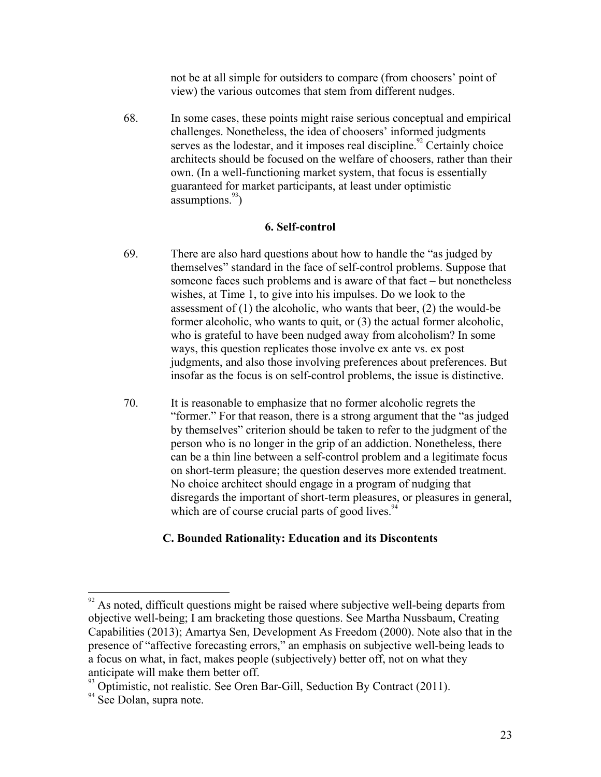not be at all simple for outsiders to compare (from choosers' point of view) the various outcomes that stem from different nudges.

68. In some cases, these points might raise serious conceptual and empirical challenges. Nonetheless, the idea of choosers' informed judgments serves as the lodestar, and it imposes real discipline.<sup>92</sup> Certainly choice architects should be focused on the welfare of choosers, rather than their own. (In a well-functioning market system, that focus is essentially guaranteed for market participants, at least under optimistic assumptions.  $93$ )

## **6. Self-control**

- 69. There are also hard questions about how to handle the "as judged by themselves" standard in the face of self-control problems. Suppose that someone faces such problems and is aware of that fact – but nonetheless wishes, at Time 1, to give into his impulses. Do we look to the assessment of  $(1)$  the alcoholic, who wants that beer,  $(2)$  the would-be former alcoholic, who wants to quit, or (3) the actual former alcoholic, who is grateful to have been nudged away from alcoholism? In some ways, this question replicates those involve ex ante vs. ex post judgments, and also those involving preferences about preferences. But insofar as the focus is on self-control problems, the issue is distinctive.
- 70. It is reasonable to emphasize that no former alcoholic regrets the "former." For that reason, there is a strong argument that the "as judged by themselves" criterion should be taken to refer to the judgment of the person who is no longer in the grip of an addiction. Nonetheless, there can be a thin line between a self-control problem and a legitimate focus on short-term pleasure; the question deserves more extended treatment. No choice architect should engage in a program of nudging that disregards the important of short-term pleasures, or pleasures in general, which are of course crucial parts of good lives.  $94$

## **C. Bounded Rationality: Education and its Discontents**

 $92$  As noted, difficult questions might be raised where subjective well-being departs from objective well-being; I am bracketing those questions. See Martha Nussbaum, Creating Capabilities (2013); Amartya Sen, Development As Freedom (2000). Note also that in the presence of "affective forecasting errors," an emphasis on subjective well-being leads to a focus on what, in fact, makes people (subjectively) better off, not on what they anticipate will make them better off.

<sup>&</sup>lt;sup>93</sup> Optimistic, not realistic. See Oren Bar-Gill, Seduction By Contract (2011).<br><sup>94</sup> See Dolan, supra note.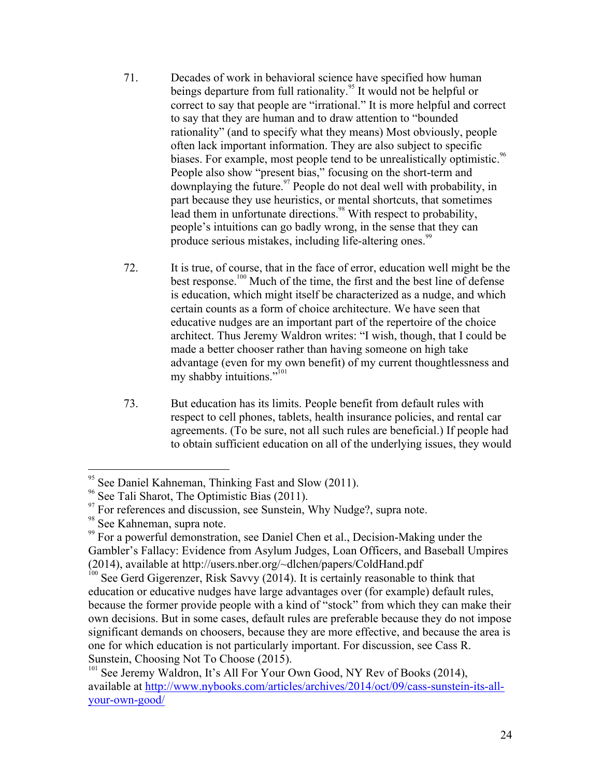- 71. Decades of work in behavioral science have specified how human beings departure from full rationality.<sup>95</sup> It would not be helpful or correct to say that people are "irrational." It is more helpful and correct to say that they are human and to draw attention to "bounded rationality" (and to specify what they means) Most obviously, people often lack important information. They are also subject to specific biases. For example, most people tend to be unrealistically optimistic.<sup>96</sup> People also show "present bias," focusing on the short-term and downplaying the future.<sup>97</sup> People do not deal well with probability, in part because they use heuristics, or mental shortcuts, that sometimes lead them in unfortunate directions.<sup>98</sup> With respect to probability, people's intuitions can go badly wrong, in the sense that they can produce serious mistakes, including life-altering ones.<sup>99</sup>
- 72. It is true, of course, that in the face of error, education well might be the best response.<sup>100</sup> Much of the time, the first and the best line of defense is education, which might itself be characterized as a nudge, and which certain counts as a form of choice architecture. We have seen that educative nudges are an important part of the repertoire of the choice architect. Thus Jeremy Waldron writes: "I wish, though, that I could be made a better chooser rather than having someone on high take advantage (even for my own benefit) of my current thoughtlessness and my shabby intuitions."<sup>101</sup>
- 73. But education has its limits. People benefit from default rules with respect to cell phones, tablets, health insurance policies, and rental car agreements. (To be sure, not all such rules are beneficial.) If people had to obtain sufficient education on all of the underlying issues, they would

<sup>&</sup>lt;sup>95</sup> See Daniel Kahneman, Thinking Fast and Slow (2011).<br><sup>96</sup> See Tali Sharot, The Optimistic Bias (2011).<br><sup>97</sup> For references and discussion, see Sunstein, Why Nudge?, supra note.<br><sup>98</sup> See Kahneman, supra note.<br><sup>99</sup> For

Gambler's Fallacy: Evidence from Asylum Judges, Loan Officers, and Baseball Umpires (2014), available at http://users.nber.org/~dlchen/papers/ColdHand.pdf<br><sup>100</sup> See Gerd Gioaranza: Disk Sc. (2011), C. (2011)

See Gerd Gigerenzer, Risk Savvy (2014). It is certainly reasonable to think that education or educative nudges have large advantages over (for example) default rules, because the former provide people with a kind of "stock" from which they can make their own decisions. But in some cases, default rules are preferable because they do not impose significant demands on choosers, because they are more effective, and because the area is one for which education is not particularly important. For discussion, see Cass R. Sunstein, Choosing Not To Choose (2015).

<sup>&</sup>lt;sup>101</sup> See Jeremy Waldron, It's All For Your Own Good, NY Rev of Books (2014), available at http://www.nybooks.com/articles/archives/2014/oct/09/cass-sunstein-its-allyour-own-good/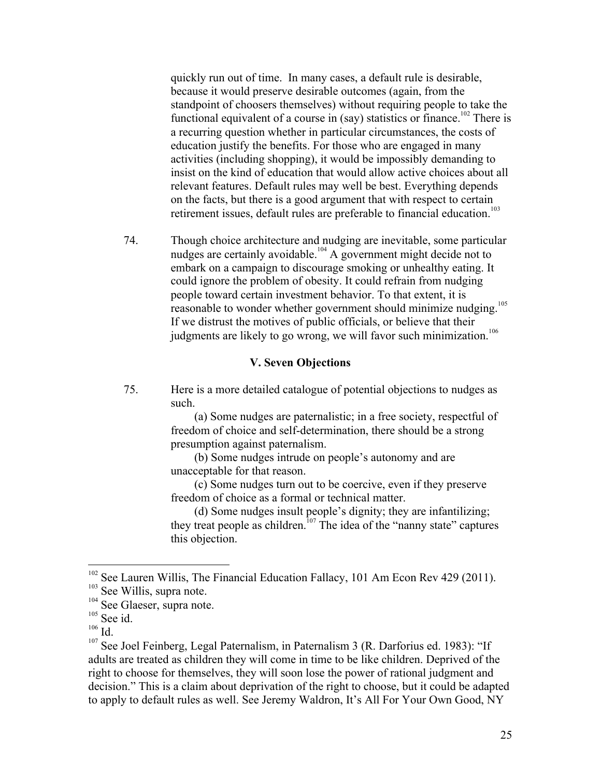quickly run out of time. In many cases, a default rule is desirable, because it would preserve desirable outcomes (again, from the standpoint of choosers themselves) without requiring people to take the functional equivalent of a course in (say) statistics or finance.<sup>102</sup> There is a recurring question whether in particular circumstances, the costs of education justify the benefits. For those who are engaged in many activities (including shopping), it would be impossibly demanding to insist on the kind of education that would allow active choices about all relevant features. Default rules may well be best. Everything depends on the facts, but there is a good argument that with respect to certain retirement issues, default rules are preferable to financial education.<sup>103</sup>

74. Though choice architecture and nudging are inevitable, some particular nudges are certainly avoidable.<sup>104</sup> A government might decide not to embark on a campaign to discourage smoking or unhealthy eating. It could ignore the problem of obesity. It could refrain from nudging people toward certain investment behavior. To that extent, it is reasonable to wonder whether government should minimize nudging.<sup>105</sup> If we distrust the motives of public officials, or believe that their judgments are likely to go wrong, we will favor such minimization.<sup>106</sup>

#### **V. Seven Objections**

75. Here is a more detailed catalogue of potential objections to nudges as such.

> (a) Some nudges are paternalistic; in a free society, respectful of freedom of choice and self-determination, there should be a strong presumption against paternalism.

(b) Some nudges intrude on people's autonomy and are unacceptable for that reason.

(c) Some nudges turn out to be coercive, even if they preserve freedom of choice as a formal or technical matter.

(d) Some nudges insult people's dignity; they are infantilizing; they treat people as children.<sup>107</sup> The idea of the "nanny state" captures this objection.

<sup>&</sup>lt;sup>102</sup> See Lauren Willis, The Financial Education Fallacy, 101 Am Econ Rev 429 (2011).<br><sup>103</sup> See Willis, supra note.<br><sup>104</sup> See Glaeser, supra note.<br><sup>105</sup> See id.<br><sup>106</sup> Id.<br><sup>107</sup> See Joel Feinberg, Legal Paternalism, in Pat

adults are treated as children they will come in time to be like children. Deprived of the right to choose for themselves, they will soon lose the power of rational judgment and decision." This is a claim about deprivation of the right to choose, but it could be adapted to apply to default rules as well. See Jeremy Waldron, It's All For Your Own Good, NY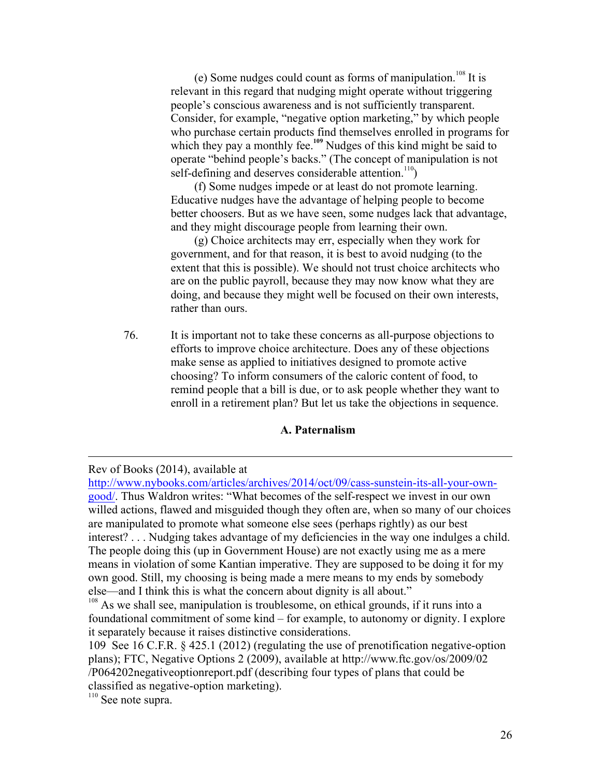(e) Some nudges could count as forms of manipulation.<sup>108</sup> It is relevant in this regard that nudging might operate without triggering people's conscious awareness and is not sufficiently transparent. Consider, for example, "negative option marketing," by which people who purchase certain products find themselves enrolled in programs for which they pay a monthly fee.<sup>109</sup> Nudges of this kind might be said to operate "behind people's backs." (The concept of manipulation is not self-defining and deserves considerable attention.<sup>110</sup>)

(f) Some nudges impede or at least do not promote learning. Educative nudges have the advantage of helping people to become better choosers. But as we have seen, some nudges lack that advantage, and they might discourage people from learning their own.

(g) Choice architects may err, especially when they work for government, and for that reason, it is best to avoid nudging (to the extent that this is possible). We should not trust choice architects who are on the public payroll, because they may now know what they are doing, and because they might well be focused on their own interests, rather than ours.

76. It is important not to take these concerns as all-purpose objections to efforts to improve choice architecture. Does any of these objections make sense as applied to initiatives designed to promote active choosing? To inform consumers of the caloric content of food, to remind people that a bill is due, or to ask people whether they want to enroll in a retirement plan? But let us take the objections in sequence.

#### **A. Paternalism**

Rev of Books (2014), available at

 $\overline{a}$ 

http://www.nybooks.com/articles/archives/2014/oct/09/cass-sunstein-its-all-your-owngood/. Thus Waldron writes: "What becomes of the self-respect we invest in our own willed actions, flawed and misguided though they often are, when so many of our choices are manipulated to promote what someone else sees (perhaps rightly) as our best interest? . . . Nudging takes advantage of my deficiencies in the way one indulges a child. The people doing this (up in Government House) are not exactly using me as a mere means in violation of some Kantian imperative. They are supposed to be doing it for my own good. Still, my choosing is being made a mere means to my ends by somebody else—and I think this is what the concern about dignity is all about."

<sup>&</sup>lt;sup>108</sup> As we shall see, manipulation is troublesome, on ethical grounds, if it runs into a foundational commitment of some kind – for example, to autonomy or dignity. I explore it separately because it raises distinctive considerations.

<sup>109</sup> See 16 C.F.R. § 425.1 (2012) (regulating the use of prenotification negative-option plans); FTC, Negative Options 2 (2009), available at http://www.ftc.gov/os/2009/02 /P064202negativeoptionreport.pdf (describing four types of plans that could be classified as negative-option marketing).

<sup>&</sup>lt;sup>110</sup> See note supra.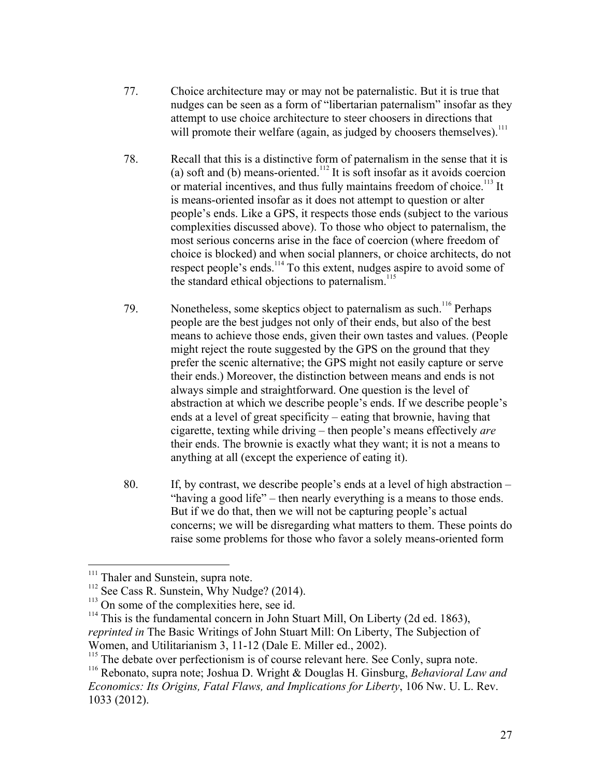- 77. Choice architecture may or may not be paternalistic. But it is true that nudges can be seen as a form of "libertarian paternalism" insofar as they attempt to use choice architecture to steer choosers in directions that will promote their welfare (again, as judged by choosers themselves).<sup>111</sup>
- 78. Recall that this is a distinctive form of paternalism in the sense that it is (a) soft and (b) means-oriented.<sup>112</sup> It is soft insofar as it avoids coercion or material incentives, and thus fully maintains freedom of choice.<sup>113</sup> It is means-oriented insofar as it does not attempt to question or alter people's ends. Like a GPS, it respects those ends (subject to the various complexities discussed above). To those who object to paternalism, the most serious concerns arise in the face of coercion (where freedom of choice is blocked) and when social planners, or choice architects, do not respect people's ends.<sup>114</sup> To this extent, nudges aspire to avoid some of the standard ethical objections to paternalism.<sup>115</sup>
- 79. Nonetheless, some skeptics object to paternalism as such.<sup>116</sup> Perhaps people are the best judges not only of their ends, but also of the best means to achieve those ends, given their own tastes and values. (People might reject the route suggested by the GPS on the ground that they prefer the scenic alternative; the GPS might not easily capture or serve their ends.) Moreover, the distinction between means and ends is not always simple and straightforward. One question is the level of abstraction at which we describe people's ends. If we describe people's ends at a level of great specificity – eating that brownie, having that cigarette, texting while driving – then people's means effectively *are* their ends. The brownie is exactly what they want; it is not a means to anything at all (except the experience of eating it).
- 80. If, by contrast, we describe people's ends at a level of high abstraction "having a good life" – then nearly everything is a means to those ends. But if we do that, then we will not be capturing people's actual concerns; we will be disregarding what matters to them. These points do raise some problems for those who favor a solely means-oriented form

<sup>&</sup>lt;sup>111</sup> Thaler and Sunstein, supra note.<br><sup>112</sup> See Cass R. Sunstein, Why Nudge? (2014).<br><sup>113</sup> On some of the complexities here, see id.<br><sup>114</sup> This is the fundamental concern in John Stuart Mill, On Liberty (2d ed. 1863), *reprinted in* The Basic Writings of John Stuart Mill: On Liberty, The Subjection of Women, and Utilitarianism 3, 11-12 (Dale E. Miller ed., 2002).<br><sup>115</sup> The debate over perfectionism is of course relevant here. See Conly, supra note.

<sup>&</sup>lt;sup>116</sup> Rebonato, supra note; Joshua D. Wright & Douglas H. Ginsburg, *Behavioral Law and Economics: Its Origins, Fatal Flaws, and Implications for Liberty*, 106 Nw. U. L. Rev. 1033 (2012).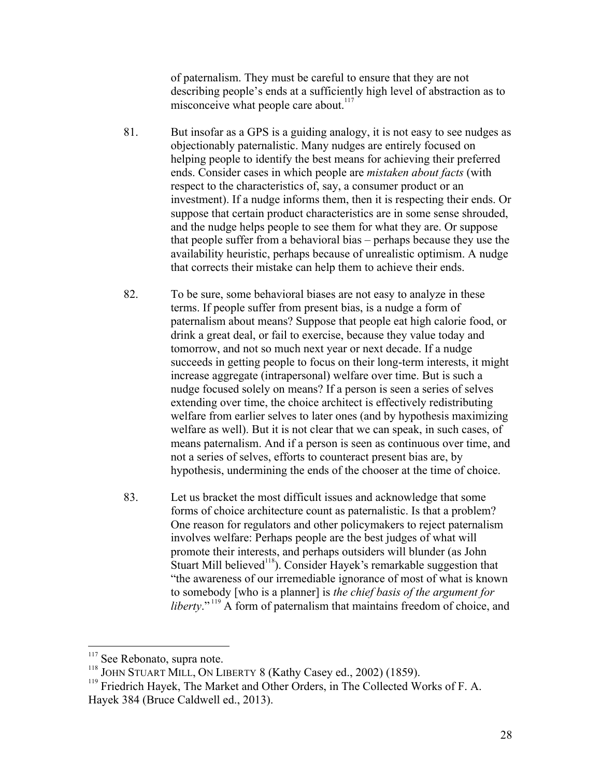of paternalism. They must be careful to ensure that they are not describing people's ends at a sufficiently high level of abstraction as to misconceive what people care about.<sup>117</sup>

- 81. But insofar as a GPS is a guiding analogy, it is not easy to see nudges as objectionably paternalistic. Many nudges are entirely focused on helping people to identify the best means for achieving their preferred ends. Consider cases in which people are *mistaken about facts* (with respect to the characteristics of, say, a consumer product or an investment). If a nudge informs them, then it is respecting their ends. Or suppose that certain product characteristics are in some sense shrouded, and the nudge helps people to see them for what they are. Or suppose that people suffer from a behavioral bias – perhaps because they use the availability heuristic, perhaps because of unrealistic optimism. A nudge that corrects their mistake can help them to achieve their ends.
- 82. To be sure, some behavioral biases are not easy to analyze in these terms. If people suffer from present bias, is a nudge a form of paternalism about means? Suppose that people eat high calorie food, or drink a great deal, or fail to exercise, because they value today and tomorrow, and not so much next year or next decade. If a nudge succeeds in getting people to focus on their long-term interests, it might increase aggregate (intrapersonal) welfare over time. But is such a nudge focused solely on means? If a person is seen a series of selves extending over time, the choice architect is effectively redistributing welfare from earlier selves to later ones (and by hypothesis maximizing welfare as well). But it is not clear that we can speak, in such cases, of means paternalism. And if a person is seen as continuous over time, and not a series of selves, efforts to counteract present bias are, by hypothesis, undermining the ends of the chooser at the time of choice.
- 83. Let us bracket the most difficult issues and acknowledge that some forms of choice architecture count as paternalistic. Is that a problem? One reason for regulators and other policymakers to reject paternalism involves welfare: Perhaps people are the best judges of what will promote their interests, and perhaps outsiders will blunder (as John Stuart Mill believed<sup>118</sup>). Consider Hayek's remarkable suggestion that "the awareness of our irremediable ignorance of most of what is known to somebody [who is a planner] is *the chief basis of the argument for liberty*."<sup>119</sup> A form of paternalism that maintains freedom of choice, and

<sup>&</sup>lt;sup>117</sup> See Rebonato, supra note.<br><sup>118</sup> JOHN STUART MILL, ON LIBERTY 8 (Kathy Casey ed., 2002) (1859).<br><sup>119</sup> Friedrich Hayek, The Market and Other Orders, in The Collected Works of F. A. Hayek 384 (Bruce Caldwell ed., 2013).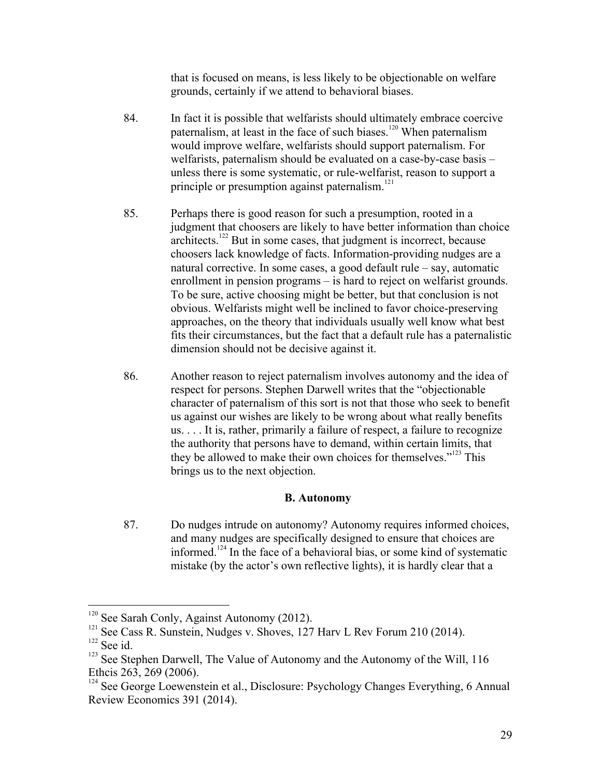that is focused on means, is less likely to be objectionable on welfare grounds, certainly if we attend to behavioral biases.

- 84. In fact it is possible that welfarists should ultimately embrace coercive paternalism, at least in the face of such biases.<sup>120</sup> When paternalism would improve welfare, welfarists should support paternalism. For welfarists, paternalism should be evaluated on a case-by-case basis – unless there is some systematic, or rule-welfarist, reason to support a principle or presumption against paternalism. $121$
- 85. Perhaps there is good reason for such a presumption, rooted in a judgment that choosers are likely to have better information than choice architects.<sup>122</sup> But in some cases, that judgment is incorrect, because choosers lack knowledge of facts. Information-providing nudges are a natural corrective. In some cases, a good default rule – say, automatic enrollment in pension programs – is hard to reject on welfarist grounds. To be sure, active choosing might be better, but that conclusion is not obvious. Welfarists might well be inclined to favor choice-preserving approaches, on the theory that individuals usually well know what best fits their circumstances, but the fact that a default rule has a paternalistic dimension should not be decisive against it.
- 86. Another reason to reject paternalism involves autonomy and the idea of respect for persons. Stephen Darwell writes that the "objectionable character of paternalism of this sort is not that those who seek to benefit us against our wishes are likely to be wrong about what really benefits us. . . . It is, rather, primarily a failure of respect, a failure to recognize the authority that persons have to demand, within certain limits, that they be allowed to make their own choices for themselves." $123$  This brings us to the next objection.

#### **B. Autonomy**

87. Do nudges intrude on autonomy? Autonomy requires informed choices, and many nudges are specifically designed to ensure that choices are informed.<sup>124</sup> In the face of a behavioral bias, or some kind of systematic mistake (by the actor's own reflective lights), it is hardly clear that a

<sup>&</sup>lt;sup>120</sup> See Sarah Conly, Against Autonomy (2012).<br><sup>121</sup> See Cass R. Sunstein, Nudges v. Shoves, 127 Harv L Rev Forum 210 (2014).<br><sup>122</sup> See id. 1<sup>23</sup> See Stephen Darwell, The Value of Autonomy and the Autonomy of the Will, 1

Ethcis 263, 269 (2006).

<sup>&</sup>lt;sup>124</sup> See George Loewenstein et al., Disclosure: Psychology Changes Everything, 6 Annual Review Economics 391 (2014).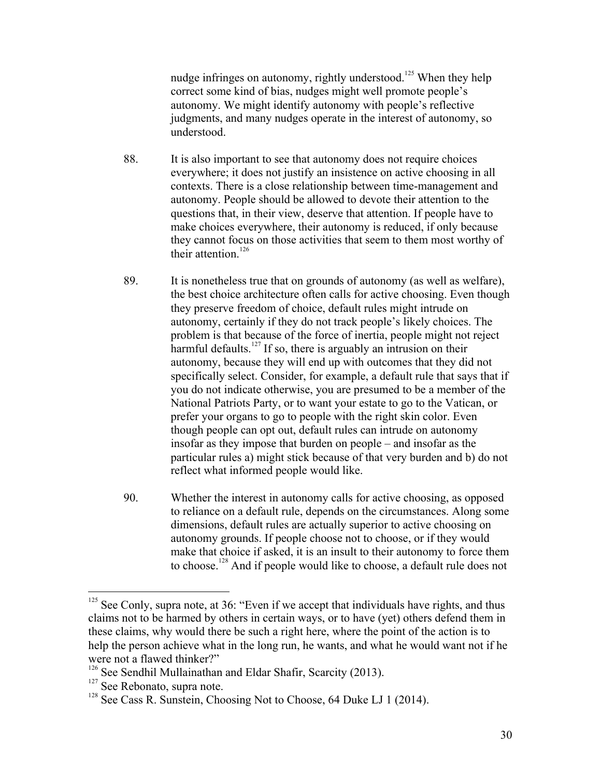nudge infringes on autonomy, rightly understood.<sup>125</sup> When they help correct some kind of bias, nudges might well promote people's autonomy. We might identify autonomy with people's reflective judgments, and many nudges operate in the interest of autonomy, so understood.

- 88. It is also important to see that autonomy does not require choices everywhere; it does not justify an insistence on active choosing in all contexts. There is a close relationship between time-management and autonomy. People should be allowed to devote their attention to the questions that, in their view, deserve that attention. If people have to make choices everywhere, their autonomy is reduced, if only because they cannot focus on those activities that seem to them most worthy of their attention. $126$
- 89. It is nonetheless true that on grounds of autonomy (as well as welfare), the best choice architecture often calls for active choosing. Even though they preserve freedom of choice, default rules might intrude on autonomy, certainly if they do not track people's likely choices. The problem is that because of the force of inertia, people might not reject harmful defaults.<sup>127</sup> If so, there is arguably an intrusion on their autonomy, because they will end up with outcomes that they did not specifically select. Consider, for example, a default rule that says that if you do not indicate otherwise, you are presumed to be a member of the National Patriots Party, or to want your estate to go to the Vatican, or prefer your organs to go to people with the right skin color. Even though people can opt out, default rules can intrude on autonomy insofar as they impose that burden on people – and insofar as the particular rules a) might stick because of that very burden and b) do not reflect what informed people would like.
- 90. Whether the interest in autonomy calls for active choosing, as opposed to reliance on a default rule, depends on the circumstances. Along some dimensions, default rules are actually superior to active choosing on autonomy grounds. If people choose not to choose, or if they would make that choice if asked, it is an insult to their autonomy to force them to choose.<sup>128</sup> And if people would like to choose, a default rule does not

 $125$  See Conly, supra note, at 36: "Even if we accept that individuals have rights, and thus claims not to be harmed by others in certain ways, or to have (yet) others defend them in these claims, why would there be such a right here, where the point of the action is to help the person achieve what in the long run, he wants, and what he would want not if he were not a flawed thinker?"<br><sup>126</sup> See Sendhil Mullainathan and Eldar Shafir, Scarcity (2013).

<sup>&</sup>lt;sup>127</sup> See Rebonato, supra note.<br><sup>128</sup> See Cass R. Sunstein, Choosing Not to Choose, 64 Duke LJ 1 (2014).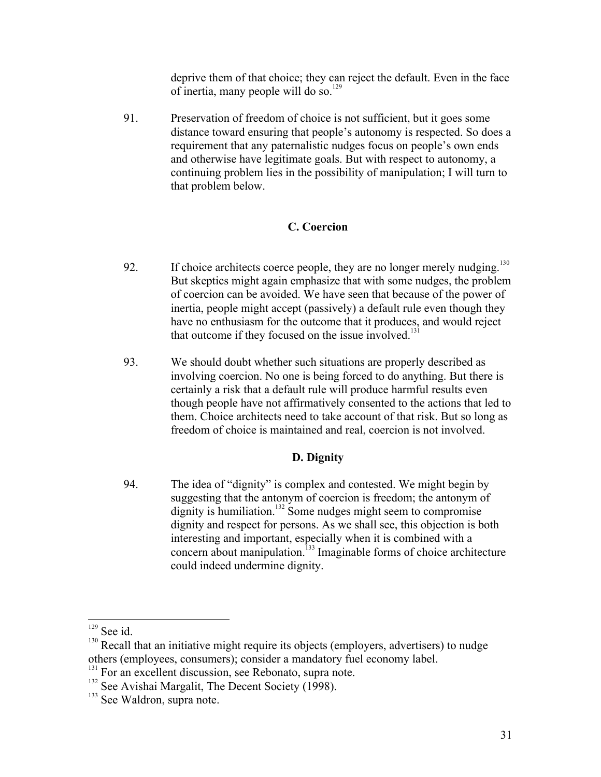deprive them of that choice; they can reject the default. Even in the face of inertia, many people will do so.<sup>129</sup>

91. Preservation of freedom of choice is not sufficient, but it goes some distance toward ensuring that people's autonomy is respected. So does a requirement that any paternalistic nudges focus on people's own ends and otherwise have legitimate goals. But with respect to autonomy, a continuing problem lies in the possibility of manipulation; I will turn to that problem below.

## **C. Coercion**

- 92. If choice architects coerce people, they are no longer merely nudging.<sup>130</sup> But skeptics might again emphasize that with some nudges, the problem of coercion can be avoided. We have seen that because of the power of inertia, people might accept (passively) a default rule even though they have no enthusiasm for the outcome that it produces, and would reject that outcome if they focused on the issue involved. $131$
- 93. We should doubt whether such situations are properly described as involving coercion. No one is being forced to do anything. But there is certainly a risk that a default rule will produce harmful results even though people have not affirmatively consented to the actions that led to them. Choice architects need to take account of that risk. But so long as freedom of choice is maintained and real, coercion is not involved.

## **D. Dignity**

94. The idea of "dignity" is complex and contested. We might begin by suggesting that the antonym of coercion is freedom; the antonym of dignity is humiliation.<sup>132</sup> Some nudges might seem to compromise dignity and respect for persons. As we shall see, this objection is both interesting and important, especially when it is combined with a concern about manipulation. <sup>133</sup> Imaginable forms of choice architecture could indeed undermine dignity.

<sup>&</sup>lt;sup>129</sup> See id.<br><sup>130</sup> Recall that an initiative might require its objects (employers, advertisers) to nudge others (employees, consumers); consider a mandatory fuel economy label.<br><sup>131</sup> For an excellent discussion, see Rebonato, supra note.

 $\frac{132}{132}$  See Avishai Margalit, The Decent Society (1998).  $\frac{133}{133}$  See Waldron, supra note.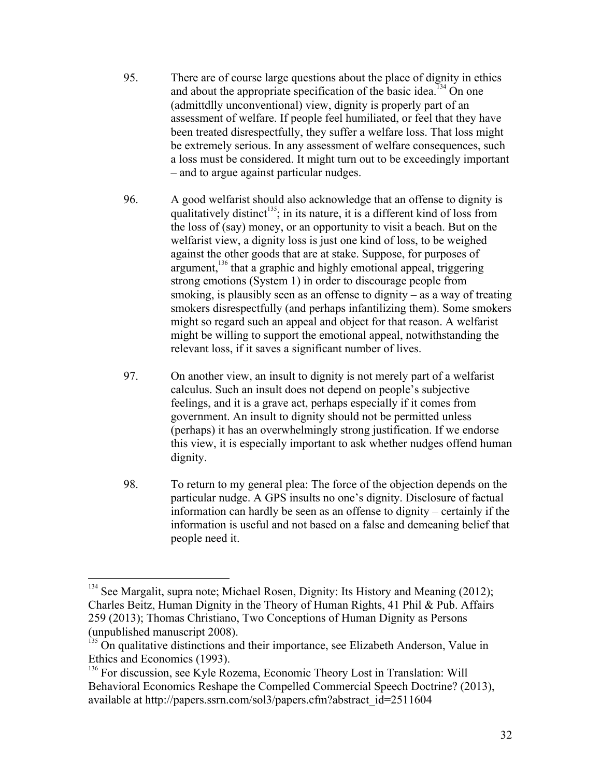- 95. There are of course large questions about the place of dignity in ethics and about the appropriate specification of the basic idea.<sup>134</sup> On one (admittdlly unconventional) view, dignity is properly part of an assessment of welfare. If people feel humiliated, or feel that they have been treated disrespectfully, they suffer a welfare loss. That loss might be extremely serious. In any assessment of welfare consequences, such a loss must be considered. It might turn out to be exceedingly important – and to argue against particular nudges.
- 96. A good welfarist should also acknowledge that an offense to dignity is qualitatively distinct<sup>135</sup>; in its nature, it is a different kind of loss from the loss of (say) money, or an opportunity to visit a beach. But on the welfarist view, a dignity loss is just one kind of loss, to be weighed against the other goods that are at stake. Suppose, for purposes of  $argument$ ,<sup>136</sup> that a graphic and highly emotional appeal, triggering strong emotions (System 1) in order to discourage people from smoking, is plausibly seen as an offense to dignity – as a way of treating smokers disrespectfully (and perhaps infantilizing them). Some smokers might so regard such an appeal and object for that reason. A welfarist might be willing to support the emotional appeal, notwithstanding the relevant loss, if it saves a significant number of lives.
- 97. On another view, an insult to dignity is not merely part of a welfarist calculus. Such an insult does not depend on people's subjective feelings, and it is a grave act, perhaps especially if it comes from government. An insult to dignity should not be permitted unless (perhaps) it has an overwhelmingly strong justification. If we endorse this view, it is especially important to ask whether nudges offend human dignity.
- 98. To return to my general plea: The force of the objection depends on the particular nudge. A GPS insults no one's dignity. Disclosure of factual information can hardly be seen as an offense to dignity – certainly if the information is useful and not based on a false and demeaning belief that people need it.

<sup>&</sup>lt;sup>134</sup> See Margalit, supra note; Michael Rosen, Dignity: Its History and Meaning (2012); Charles Beitz, Human Dignity in the Theory of Human Rights, 41 Phil & Pub. Affairs 259 (2013); Thomas Christiano, Two Conceptions of Human Dignity as Persons (unpublished manuscript 2008).

<sup>&</sup>lt;sup>135</sup> On qualitative distinctions and their importance, see Elizabeth Anderson, Value in Ethics and Economics (1993).

 $136$  For discussion, see Kyle Rozema, Economic Theory Lost in Translation: Will Behavioral Economics Reshape the Compelled Commercial Speech Doctrine? (2013), available at http://papers.ssrn.com/sol3/papers.cfm?abstract\_id=2511604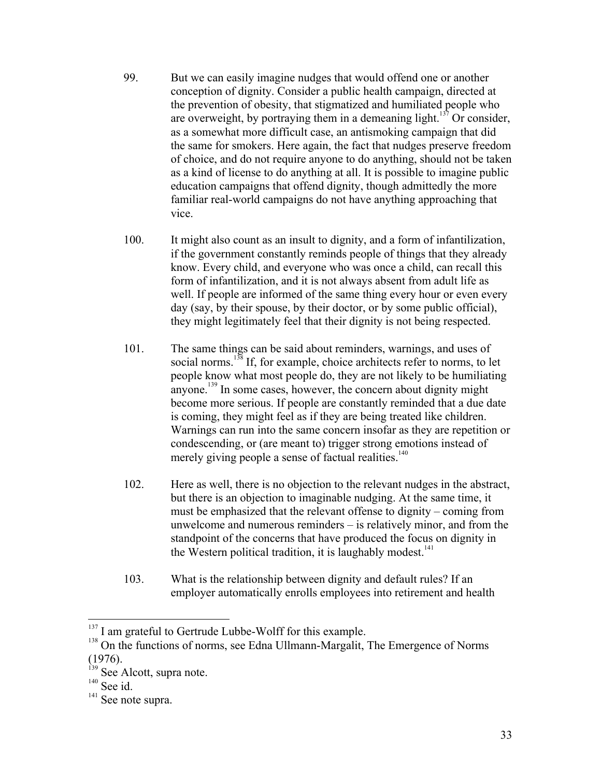- 99. But we can easily imagine nudges that would offend one or another conception of dignity. Consider a public health campaign, directed at the prevention of obesity, that stigmatized and humiliated people who are overweight, by portraying them in a demeaning light.<sup>137</sup> Or consider, as a somewhat more difficult case, an antismoking campaign that did the same for smokers. Here again, the fact that nudges preserve freedom of choice, and do not require anyone to do anything, should not be taken as a kind of license to do anything at all. It is possible to imagine public education campaigns that offend dignity, though admittedly the more familiar real-world campaigns do not have anything approaching that vice.
- 100. It might also count as an insult to dignity, and a form of infantilization, if the government constantly reminds people of things that they already know. Every child, and everyone who was once a child, can recall this form of infantilization, and it is not always absent from adult life as well. If people are informed of the same thing every hour or even every day (say, by their spouse, by their doctor, or by some public official), they might legitimately feel that their dignity is not being respected.
- 101. The same things can be said about reminders, warnings, and uses of social norms.<sup>138</sup> If, for example, choice architects refer to norms, to let people know what most people do, they are not likely to be humiliating anyone.<sup>139</sup> In some cases, however, the concern about dignity might become more serious. If people are constantly reminded that a due date is coming, they might feel as if they are being treated like children. Warnings can run into the same concern insofar as they are repetition or condescending, or (are meant to) trigger strong emotions instead of merely giving people a sense of factual realities.<sup>140</sup>
- 102. Here as well, there is no objection to the relevant nudges in the abstract, but there is an objection to imaginable nudging. At the same time, it must be emphasized that the relevant offense to dignity – coming from unwelcome and numerous reminders – is relatively minor, and from the standpoint of the concerns that have produced the focus on dignity in the Western political tradition, it is laughably modest.<sup>141</sup>
- 103. What is the relationship between dignity and default rules? If an employer automatically enrolls employees into retirement and health

<sup>&</sup>lt;sup>137</sup> I am grateful to Gertrude Lubbe-Wolff for this example.<br><sup>138</sup> On the functions of norms, see Edna Ullmann-Margalit, The Emergence of Norms (1976).

 $139$  See Alcott, supra note.<br>  $140$  See id.<br>  $141$  See note supra.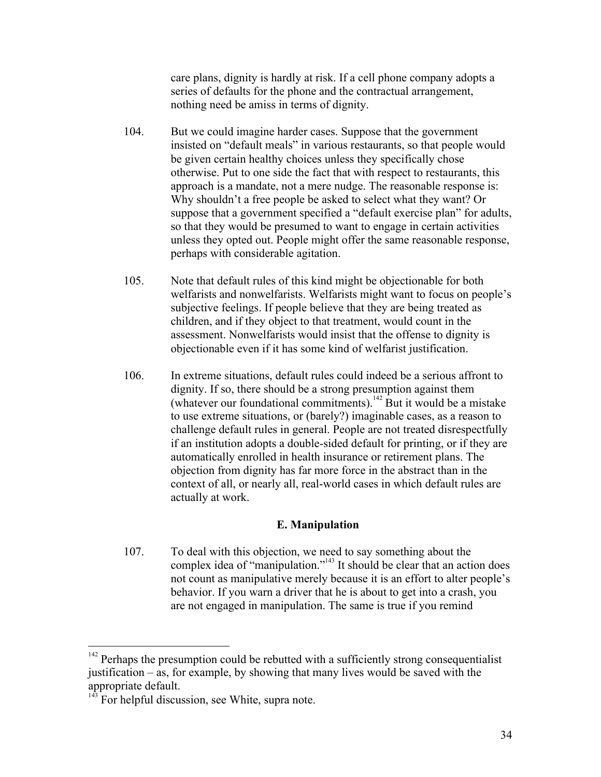care plans, dignity is hardly at risk. If a cell phone company adopts a series of defaults for the phone and the contractual arrangement, nothing need be amiss in terms of dignity.

- 104. But we could imagine harder cases. Suppose that the government insisted on "default meals" in various restaurants, so that people would be given certain healthy choices unless they specifically chose otherwise. Put to one side the fact that with respect to restaurants, this approach is a mandate, not a mere nudge. The reasonable response is: Why shouldn't a free people be asked to select what they want? Or suppose that a government specified a "default exercise plan" for adults, so that they would be presumed to want to engage in certain activities unless they opted out. People might offer the same reasonable response, perhaps with considerable agitation.
- 105. Note that default rules of this kind might be objectionable for both welfarists and nonwelfarists. Welfarists might want to focus on people's subjective feelings. If people believe that they are being treated as children, and if they object to that treatment, would count in the assessment. Nonwelfarists would insist that the offense to dignity is objectionable even if it has some kind of welfarist justification.
- 106. In extreme situations, default rules could indeed be a serious affront to dignity. If so, there should be a strong presumption against them (whatever our foundational commitments).<sup>142</sup> But it would be a mistake to use extreme situations, or (barely?) imaginable cases, as a reason to challenge default rules in general. People are not treated disrespectfully if an institution adopts a double-sided default for printing, or if they are automatically enrolled in health insurance or retirement plans. The objection from dignity has far more force in the abstract than in the context of all, or nearly all, real-world cases in which default rules are actually at work.

#### **E. Manipulation**

107. To deal with this objection, we need to say something about the complex idea of "manipulation."<sup>143</sup> It should be clear that an action does not count as manipulative merely because it is an effort to alter people's behavior. If you warn a driver that he is about to get into a crash, you are not engaged in manipulation. The same is true if you remind

 $142$  Perhaps the presumption could be rebutted with a sufficiently strong consequentialist justification – as, for example, by showing that many lives would be saved with the appropriate default.

<sup>143</sup> For helpful discussion, see White, supra note.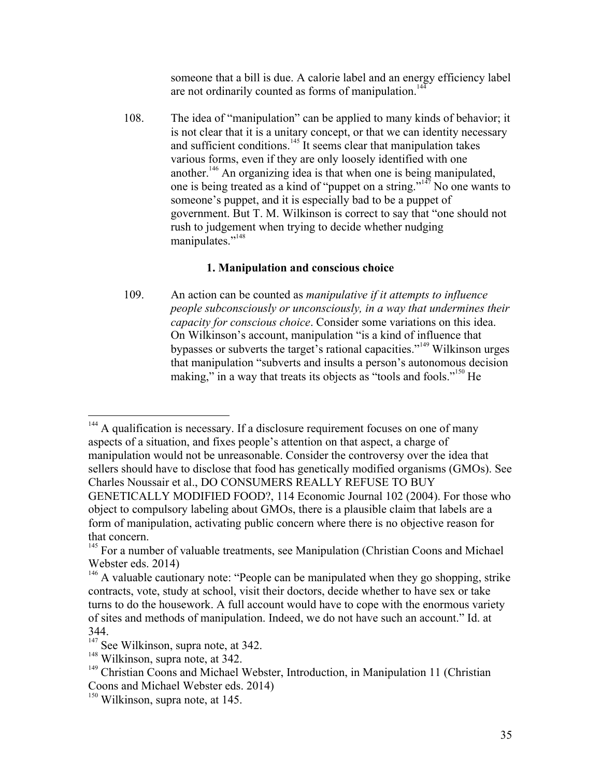someone that a bill is due. A calorie label and an energy efficiency label are not ordinarily counted as forms of manipulation.<sup>14</sup>

108. The idea of "manipulation" can be applied to many kinds of behavior; it is not clear that it is a unitary concept, or that we can identity necessary and sufficient conditions.<sup>145</sup> It seems clear that manipulation takes various forms, even if they are only loosely identified with one another.146 An organizing idea is that when one is being manipulated, one is being treated as a kind of "puppet on a string."<sup>147</sup> No one wants to someone's puppet, and it is especially bad to be a puppet of government. But T. M. Wilkinson is correct to say that "one should not rush to judgement when trying to decide whether nudging manipulates."<sup>148</sup>

## **1. Manipulation and conscious choice**

109. An action can be counted as *manipulative if it attempts to influence people subconsciously or unconsciously, in a way that undermines their capacity for conscious choice*. Consider some variations on this idea. On Wilkinson's account, manipulation "is a kind of influence that bypasses or subverts the target's rational capacities."<sup>149</sup> Wilkinson urges that manipulation "subverts and insults a person's autonomous decision making," in a way that treats its objects as "tools and fools."<sup>150</sup> He

<sup>&</sup>lt;sup>144</sup> A qualification is necessary. If a disclosure requirement focuses on one of many aspects of a situation, and fixes people's attention on that aspect, a charge of manipulation would not be unreasonable. Consider the controversy over the idea that sellers should have to disclose that food has genetically modified organisms (GMOs). See Charles Noussair et al., DO CONSUMERS REALLY REFUSE TO BUY GENETICALLY MODIFIED FOOD?, 114 Economic Journal 102 (2004). For those who object to compulsory labeling about GMOs, there is a plausible claim that labels are a form of manipulation, activating public concern where there is no objective reason for that concern.

<sup>&</sup>lt;sup>145</sup> For a number of valuable treatments, see Manipulation (Christian Coons and Michael Webster eds. 2014)

<sup>&</sup>lt;sup>146</sup> A valuable cautionary note: "People can be manipulated when they go shopping, strike contracts, vote, study at school, visit their doctors, decide whether to have sex or take turns to do the housework. A full account would have to cope with the enormous variety of sites and methods of manipulation. Indeed, we do not have such an account." Id. at 344.<br><sup>147</sup> See Wilkinson, supra note, at 342.

<sup>&</sup>lt;sup>148</sup> Wilkinson, supra note, at 342.<br><sup>149</sup> Christian Coons and Michael Webster, Introduction, in Manipulation 11 (Christian Coons and Michael Webster eds. 2014)

 $150$  Wilkinson, supra note, at 145.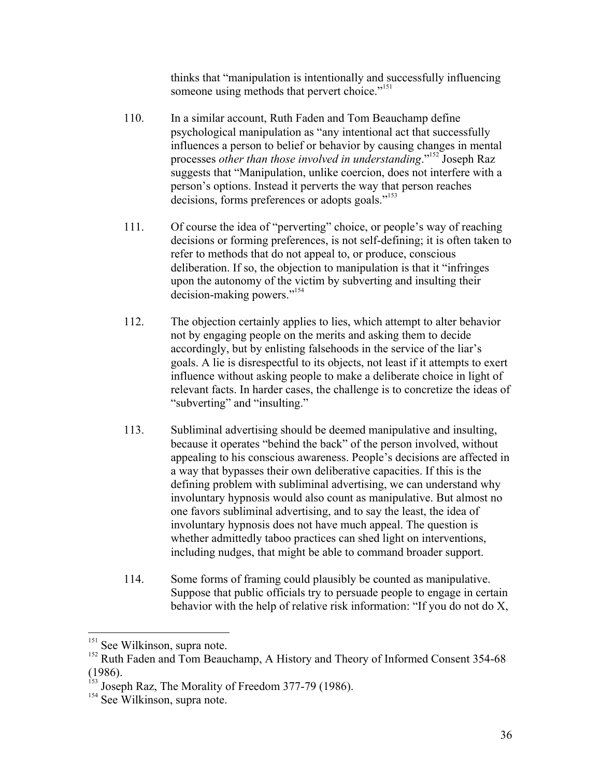thinks that "manipulation is intentionally and successfully influencing someone using methods that pervert choice."<sup>151</sup>

- 110. In a similar account, Ruth Faden and Tom Beauchamp define psychological manipulation as "any intentional act that successfully influences a person to belief or behavior by causing changes in mental processes *other than those involved in understanding*."<sup>152</sup> Joseph Raz suggests that "Manipulation, unlike coercion, does not interfere with a person's options. Instead it perverts the way that person reaches decisions, forms preferences or adopts goals."<sup>153</sup>
- 111. Of course the idea of "perverting" choice, or people's way of reaching decisions or forming preferences, is not self-defining; it is often taken to refer to methods that do not appeal to, or produce, conscious deliberation. If so, the objection to manipulation is that it "infringes upon the autonomy of the victim by subverting and insulting their decision-making powers."<sup>154</sup>
- 112. The objection certainly applies to lies, which attempt to alter behavior not by engaging people on the merits and asking them to decide accordingly, but by enlisting falsehoods in the service of the liar's goals. A lie is disrespectful to its objects, not least if it attempts to exert influence without asking people to make a deliberate choice in light of relevant facts. In harder cases, the challenge is to concretize the ideas of "subverting" and "insulting."
- 113. Subliminal advertising should be deemed manipulative and insulting, because it operates "behind the back" of the person involved, without appealing to his conscious awareness. People's decisions are affected in a way that bypasses their own deliberative capacities. If this is the defining problem with subliminal advertising, we can understand why involuntary hypnosis would also count as manipulative. But almost no one favors subliminal advertising, and to say the least, the idea of involuntary hypnosis does not have much appeal. The question is whether admittedly taboo practices can shed light on interventions, including nudges, that might be able to command broader support.
- 114. Some forms of framing could plausibly be counted as manipulative. Suppose that public officials try to persuade people to engage in certain behavior with the help of relative risk information: "If you do not do X,

<sup>&</sup>lt;sup>151</sup> See Wilkinson, supra note.<br><sup>152</sup> Ruth Faden and Tom Beauchamp, A History and Theory of Informed Consent 354-68 (1986).

 $153$  Joseph Raz, The Morality of Freedom 377-79 (1986).<br><sup>154</sup> See Wilkinson, supra note.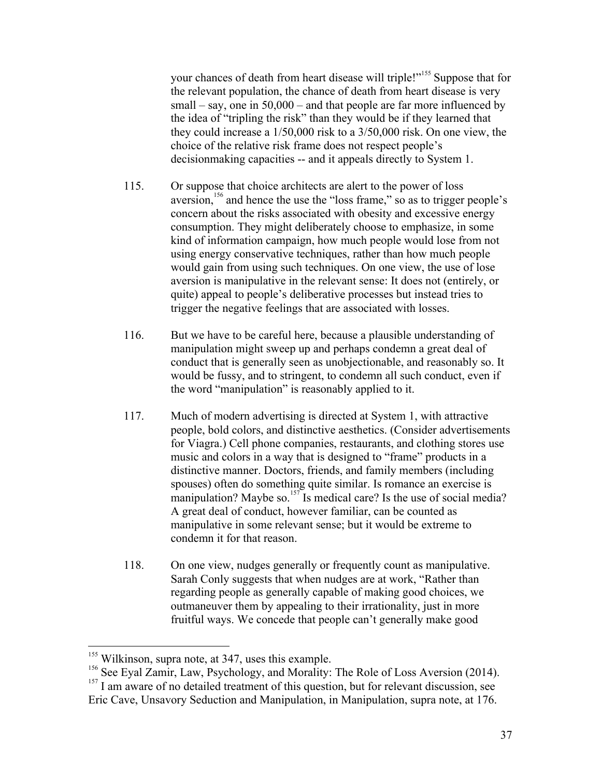your chances of death from heart disease will triple!"<sup>155</sup> Suppose that for the relevant population, the chance of death from heart disease is very small – say, one in 50,000 – and that people are far more influenced by the idea of "tripling the risk" than they would be if they learned that they could increase a 1/50,000 risk to a 3/50,000 risk. On one view, the choice of the relative risk frame does not respect people's decisionmaking capacities -- and it appeals directly to System 1.

- 115. Or suppose that choice architects are alert to the power of loss aversion,<sup>156</sup> and hence the use the "loss frame," so as to trigger people's concern about the risks associated with obesity and excessive energy consumption. They might deliberately choose to emphasize, in some kind of information campaign, how much people would lose from not using energy conservative techniques, rather than how much people would gain from using such techniques. On one view, the use of lose aversion is manipulative in the relevant sense: It does not (entirely, or quite) appeal to people's deliberative processes but instead tries to trigger the negative feelings that are associated with losses.
- 116. But we have to be careful here, because a plausible understanding of manipulation might sweep up and perhaps condemn a great deal of conduct that is generally seen as unobjectionable, and reasonably so. It would be fussy, and to stringent, to condemn all such conduct, even if the word "manipulation" is reasonably applied to it.
- 117. Much of modern advertising is directed at System 1, with attractive people, bold colors, and distinctive aesthetics. (Consider advertisements for Viagra.) Cell phone companies, restaurants, and clothing stores use music and colors in a way that is designed to "frame" products in a distinctive manner. Doctors, friends, and family members (including spouses) often do something quite similar. Is romance an exercise is manipulation? Maybe so. $157$  Is medical care? Is the use of social media? A great deal of conduct, however familiar, can be counted as manipulative in some relevant sense; but it would be extreme to condemn it for that reason.
- 118. On one view, nudges generally or frequently count as manipulative. Sarah Conly suggests that when nudges are at work, "Rather than regarding people as generally capable of making good choices, we outmaneuver them by appealing to their irrationality, just in more fruitful ways. We concede that people can't generally make good

<sup>&</sup>lt;sup>155</sup> Wilkinson, supra note, at 347, uses this example.<br><sup>156</sup> See Eyal Zamir, Law, Psychology, and Morality: The Role of Loss Aversion (2014).<br><sup>157</sup> I am aware of no detailed treatment of this question, but for relevant d Eric Cave, Unsavory Seduction and Manipulation, in Manipulation, supra note, at 176.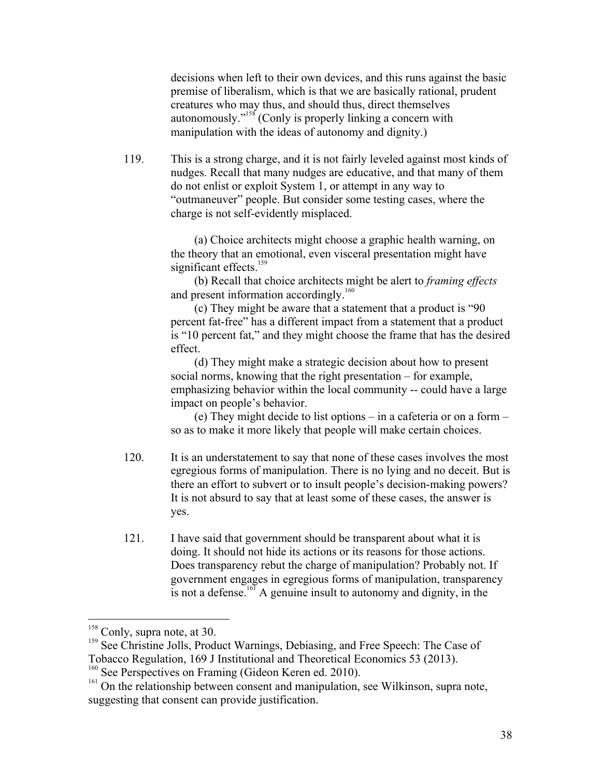decisions when left to their own devices, and this runs against the basic premise of liberalism, which is that we are basically rational, prudent creatures who may thus, and should thus, direct themselves autonomously."<sup>158</sup> (Conly is properly linking a concern with manipulation with the ideas of autonomy and dignity.)

119. This is a strong charge, and it is not fairly leveled against most kinds of nudges. Recall that many nudges are educative, and that many of them do not enlist or exploit System 1, or attempt in any way to "outmaneuver" people. But consider some testing cases, where the charge is not self-evidently misplaced.

> (a) Choice architects might choose a graphic health warning, on the theory that an emotional, even visceral presentation might have significant effects.<sup>159</sup>

> (b) Recall that choice architects might be alert to *framing effects* and present information accordingly.<sup>160</sup>

(c) They might be aware that a statement that a product is "90 percent fat-free" has a different impact from a statement that a product is "10 percent fat," and they might choose the frame that has the desired effect.

(d) They might make a strategic decision about how to present social norms, knowing that the right presentation – for example, emphasizing behavior within the local community -- could have a large impact on people's behavior.

(e) They might decide to list options – in a cafeteria or on a form – so as to make it more likely that people will make certain choices.

- 120. It is an understatement to say that none of these cases involves the most egregious forms of manipulation. There is no lying and no deceit. But is there an effort to subvert or to insult people's decision-making powers? It is not absurd to say that at least some of these cases, the answer is yes.
- 121. I have said that government should be transparent about what it is doing. It should not hide its actions or its reasons for those actions. Does transparency rebut the charge of manipulation? Probably not. If government engages in egregious forms of manipulation, transparency is not a defense.<sup>161</sup> A genuine insult to autonomy and dignity, in the

<sup>&</sup>lt;sup>158</sup> Conly, supra note, at 30. 159 See Christine Jolls, Product Warnings, Debiasing, and Free Speech: The Case of Tobacco Regulation, 169 J Institutional and Theoretical Economics 53 (2013).<br><sup>160</sup> See Perspectives on Framing (Gideon Keren ed. 2010).<br><sup>161</sup> On the relationship between consent and manipulation, see Wilkinson, supra note

suggesting that consent can provide justification.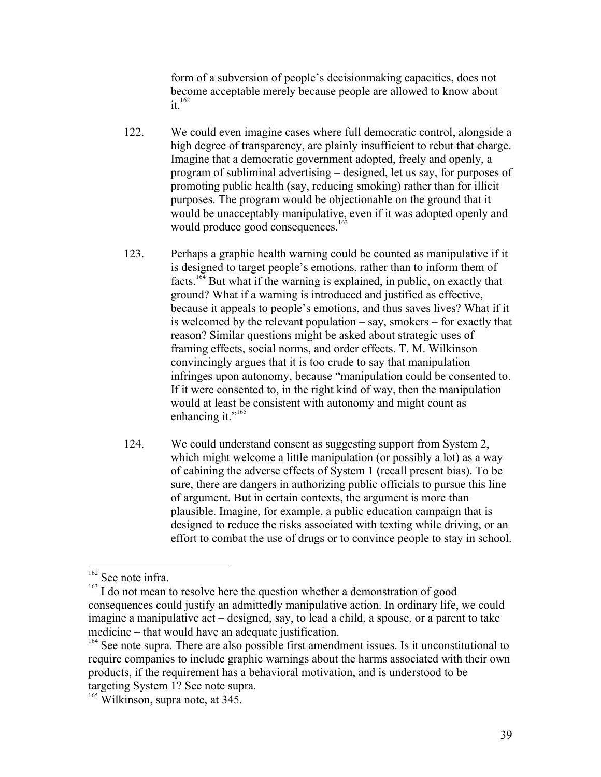form of a subversion of people's decisionmaking capacities, does not become acceptable merely because people are allowed to know about  $it$ <sup>162</sup>

- 122. We could even imagine cases where full democratic control, alongside a high degree of transparency, are plainly insufficient to rebut that charge. Imagine that a democratic government adopted, freely and openly, a program of subliminal advertising – designed, let us say, for purposes of promoting public health (say, reducing smoking) rather than for illicit purposes. The program would be objectionable on the ground that it would be unacceptably manipulative, even if it was adopted openly and would produce good consequences.<sup>163</sup>
- 123. Perhaps a graphic health warning could be counted as manipulative if it is designed to target people's emotions, rather than to inform them of facts.<sup>164</sup> But what if the warning is explained, in public, on exactly that ground? What if a warning is introduced and justified as effective, because it appeals to people's emotions, and thus saves lives? What if it is welcomed by the relevant population – say, smokers – for exactly that reason? Similar questions might be asked about strategic uses of framing effects, social norms, and order effects. T. M. Wilkinson convincingly argues that it is too crude to say that manipulation infringes upon autonomy, because "manipulation could be consented to. If it were consented to, in the right kind of way, then the manipulation would at least be consistent with autonomy and might count as enhancing it."<sup>165</sup>
- 124. We could understand consent as suggesting support from System 2, which might welcome a little manipulation (or possibly a lot) as a way of cabining the adverse effects of System 1 (recall present bias). To be sure, there are dangers in authorizing public officials to pursue this line of argument. But in certain contexts, the argument is more than plausible. Imagine, for example, a public education campaign that is designed to reduce the risks associated with texting while driving, or an effort to combat the use of drugs or to convince people to stay in school.

 $162$  See note infra.<br><sup>163</sup> I do not mean to resolve here the question whether a demonstration of good consequences could justify an admittedly manipulative action. In ordinary life, we could imagine a manipulative act – designed, say, to lead a child, a spouse, or a parent to take medicine – that would have an adequate justification.<br><sup>164</sup> See note supra. There are also possible first amendment issues. Is it unconstitutional to

require companies to include graphic warnings about the harms associated with their own products, if the requirement has a behavioral motivation, and is understood to be targeting System 1? See note supra.

 $165$  Wilkinson, supra note, at 345.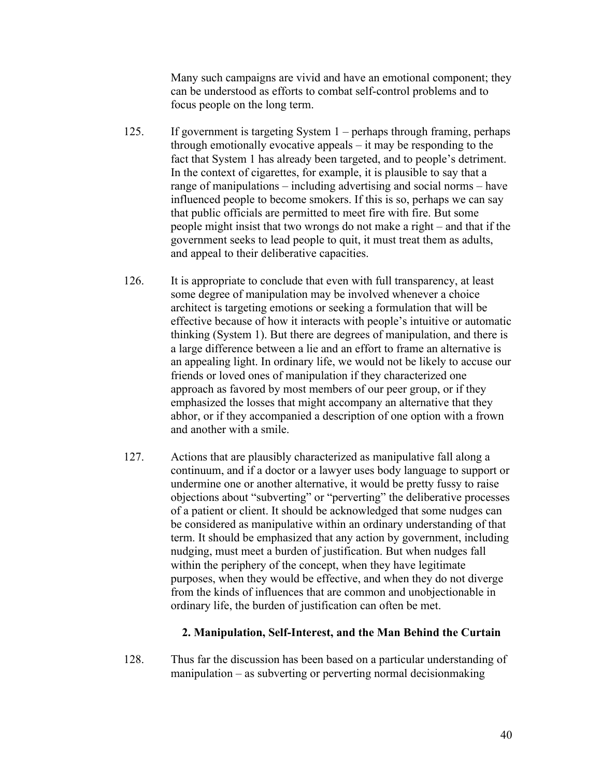Many such campaigns are vivid and have an emotional component; they can be understood as efforts to combat self-control problems and to focus people on the long term.

- 125. If government is targeting System 1 perhaps through framing, perhaps through emotionally evocative appeals – it may be responding to the fact that System 1 has already been targeted, and to people's detriment. In the context of cigarettes, for example, it is plausible to say that a range of manipulations – including advertising and social norms – have influenced people to become smokers. If this is so, perhaps we can say that public officials are permitted to meet fire with fire. But some people might insist that two wrongs do not make a right – and that if the government seeks to lead people to quit, it must treat them as adults, and appeal to their deliberative capacities.
- 126. It is appropriate to conclude that even with full transparency, at least some degree of manipulation may be involved whenever a choice architect is targeting emotions or seeking a formulation that will be effective because of how it interacts with people's intuitive or automatic thinking (System 1). But there are degrees of manipulation, and there is a large difference between a lie and an effort to frame an alternative is an appealing light. In ordinary life, we would not be likely to accuse our friends or loved ones of manipulation if they characterized one approach as favored by most members of our peer group, or if they emphasized the losses that might accompany an alternative that they abhor, or if they accompanied a description of one option with a frown and another with a smile.
- 127. Actions that are plausibly characterized as manipulative fall along a continuum, and if a doctor or a lawyer uses body language to support or undermine one or another alternative, it would be pretty fussy to raise objections about "subverting" or "perverting" the deliberative processes of a patient or client. It should be acknowledged that some nudges can be considered as manipulative within an ordinary understanding of that term. It should be emphasized that any action by government, including nudging, must meet a burden of justification. But when nudges fall within the periphery of the concept, when they have legitimate purposes, when they would be effective, and when they do not diverge from the kinds of influences that are common and unobjectionable in ordinary life, the burden of justification can often be met.

#### **2. Manipulation, Self-Interest, and the Man Behind the Curtain**

128. Thus far the discussion has been based on a particular understanding of manipulation – as subverting or perverting normal decisionmaking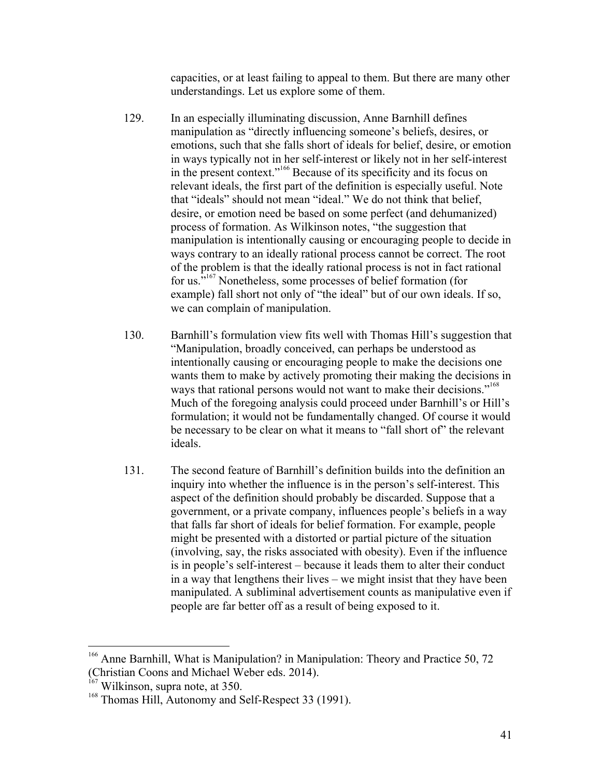capacities, or at least failing to appeal to them. But there are many other understandings. Let us explore some of them.

- 129. In an especially illuminating discussion, Anne Barnhill defines manipulation as "directly influencing someone's beliefs, desires, or emotions, such that she falls short of ideals for belief, desire, or emotion in ways typically not in her self-interest or likely not in her self-interest in the present context." <sup>166</sup> Because of its specificity and its focus on relevant ideals, the first part of the definition is especially useful. Note that "ideals" should not mean "ideal." We do not think that belief, desire, or emotion need be based on some perfect (and dehumanized) process of formation. As Wilkinson notes, "the suggestion that manipulation is intentionally causing or encouraging people to decide in ways contrary to an ideally rational process cannot be correct. The root of the problem is that the ideally rational process is not in fact rational for us.<sup>7,167</sup> Nonetheless, some processes of belief formation (for example) fall short not only of "the ideal" but of our own ideals. If so, we can complain of manipulation.
- 130. Barnhill's formulation view fits well with Thomas Hill's suggestion that "Manipulation, broadly conceived, can perhaps be understood as intentionally causing or encouraging people to make the decisions one wants them to make by actively promoting their making the decisions in ways that rational persons would not want to make their decisions."<sup>168</sup> Much of the foregoing analysis could proceed under Barnhill's or Hill's formulation; it would not be fundamentally changed. Of course it would be necessary to be clear on what it means to "fall short of" the relevant ideals.
- 131. The second feature of Barnhill's definition builds into the definition an inquiry into whether the influence is in the person's self-interest. This aspect of the definition should probably be discarded. Suppose that a government, or a private company, influences people's beliefs in a way that falls far short of ideals for belief formation. For example, people might be presented with a distorted or partial picture of the situation (involving, say, the risks associated with obesity). Even if the influence is in people's self-interest – because it leads them to alter their conduct in a way that lengthens their lives – we might insist that they have been manipulated. A subliminal advertisement counts as manipulative even if people are far better off as a result of being exposed to it.

<sup>&</sup>lt;sup>166</sup> Anne Barnhill, What is Manipulation? in Manipulation: Theory and Practice 50, 72 (Christian Coons and Michael Weber eds. 2014).<br><sup>167</sup> Wilkinson, supra note, at 350.

 $168$  Thomas Hill, Autonomy and Self-Respect 33 (1991).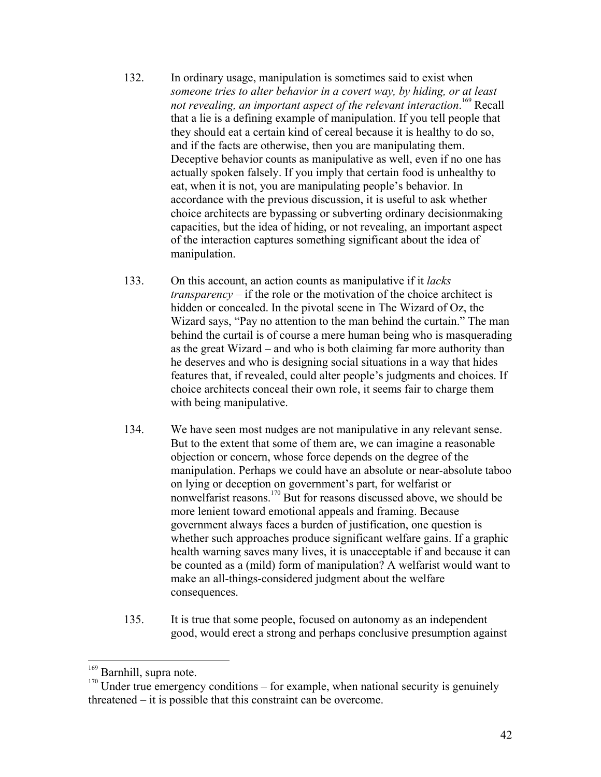- 132. In ordinary usage, manipulation is sometimes said to exist when *someone tries to alter behavior in a covert way, by hiding, or at least*  not revealing, an important aspect of the relevant interaction.<sup>169</sup> Recall that a lie is a defining example of manipulation. If you tell people that they should eat a certain kind of cereal because it is healthy to do so, and if the facts are otherwise, then you are manipulating them. Deceptive behavior counts as manipulative as well, even if no one has actually spoken falsely. If you imply that certain food is unhealthy to eat, when it is not, you are manipulating people's behavior. In accordance with the previous discussion, it is useful to ask whether choice architects are bypassing or subverting ordinary decisionmaking capacities, but the idea of hiding, or not revealing, an important aspect of the interaction captures something significant about the idea of manipulation.
- 133. On this account, an action counts as manipulative if it *lacks transparency* – if the role or the motivation of the choice architect is hidden or concealed. In the pivotal scene in The Wizard of Oz, the Wizard says, "Pay no attention to the man behind the curtain." The man behind the curtail is of course a mere human being who is masquerading as the great Wizard – and who is both claiming far more authority than he deserves and who is designing social situations in a way that hides features that, if revealed, could alter people's judgments and choices. If choice architects conceal their own role, it seems fair to charge them with being manipulative.
- 134. We have seen most nudges are not manipulative in any relevant sense. But to the extent that some of them are, we can imagine a reasonable objection or concern, whose force depends on the degree of the manipulation. Perhaps we could have an absolute or near-absolute taboo on lying or deception on government's part, for welfarist or nonwelfarist reasons.<sup>170</sup> But for reasons discussed above, we should be more lenient toward emotional appeals and framing. Because government always faces a burden of justification, one question is whether such approaches produce significant welfare gains. If a graphic health warning saves many lives, it is unacceptable if and because it can be counted as a (mild) form of manipulation? A welfarist would want to make an all-things-considered judgment about the welfare consequences.
- 135. It is true that some people, focused on autonomy as an independent good, would erect a strong and perhaps conclusive presumption against

<sup>&</sup>lt;sup>169</sup> Barnhill, supra note.<br><sup>170</sup> Under true emergency conditions – for example, when national security is genuinely threatened – it is possible that this constraint can be overcome.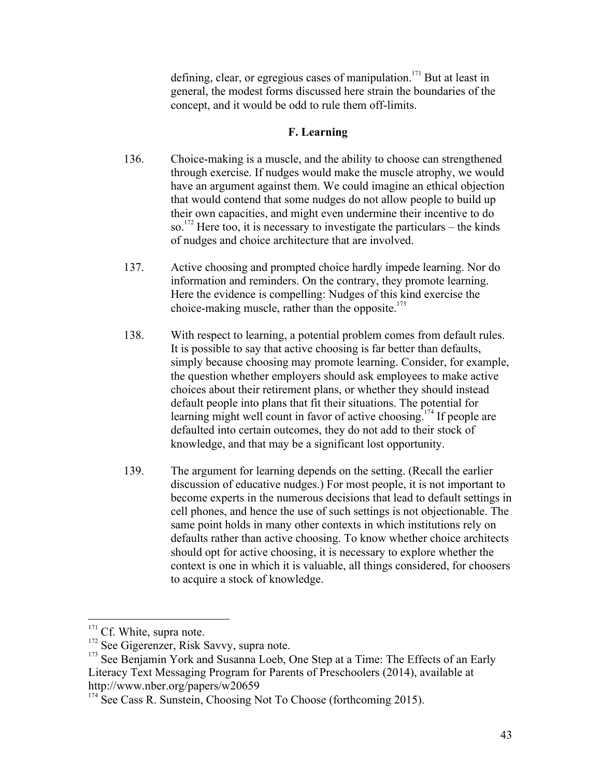defining, clear, or egregious cases of manipulation.<sup>171</sup> But at least in general, the modest forms discussed here strain the boundaries of the concept, and it would be odd to rule them off-limits.

### **F. Learning**

- 136. Choice-making is a muscle, and the ability to choose can strengthened through exercise. If nudges would make the muscle atrophy, we would have an argument against them. We could imagine an ethical objection that would contend that some nudges do not allow people to build up their own capacities, and might even undermine their incentive to do so.<sup>172</sup> Here too, it is necessary to investigate the particulars – the kinds of nudges and choice architecture that are involved.
- 137. Active choosing and prompted choice hardly impede learning. Nor do information and reminders. On the contrary, they promote learning. Here the evidence is compelling: Nudges of this kind exercise the choice-making muscle, rather than the opposite.<sup>173</sup>
- 138. With respect to learning, a potential problem comes from default rules. It is possible to say that active choosing is far better than defaults, simply because choosing may promote learning. Consider, for example, the question whether employers should ask employees to make active choices about their retirement plans, or whether they should instead default people into plans that fit their situations. The potential for learning might well count in favor of active choosing.<sup>174</sup> If people are defaulted into certain outcomes, they do not add to their stock of knowledge, and that may be a significant lost opportunity.
- 139. The argument for learning depends on the setting. (Recall the earlier discussion of educative nudges.) For most people, it is not important to become experts in the numerous decisions that lead to default settings in cell phones, and hence the use of such settings is not objectionable. The same point holds in many other contexts in which institutions rely on defaults rather than active choosing. To know whether choice architects should opt for active choosing, it is necessary to explore whether the context is one in which it is valuable, all things considered, for choosers to acquire a stock of knowledge.

<sup>&</sup>lt;sup>171</sup> Cf. White, supra note.<br><sup>172</sup> See Gigerenzer, Risk Savvy, supra note.<br><sup>173</sup> See Benjamin York and Susanna Loeb, One Step at a Time: The Effects of an Early Literacy Text Messaging Program for Parents of Preschoolers (2014), available at http://www.nber.org/papers/w20659

 $174$  See Cass R. Sunstein, Choosing Not To Choose (forthcoming 2015).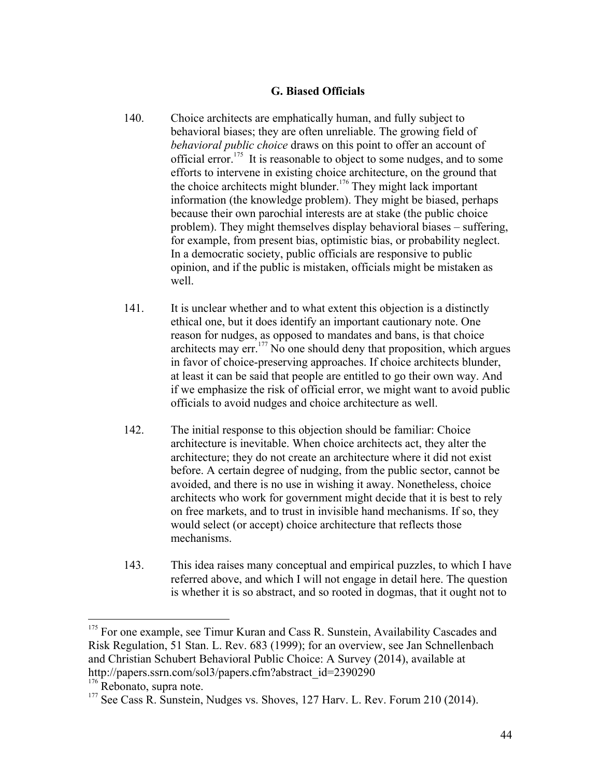#### **G. Biased Officials**

- 140. Choice architects are emphatically human, and fully subject to behavioral biases; they are often unreliable. The growing field of *behavioral public choice* draws on this point to offer an account of official error.<sup>175</sup> It is reasonable to object to some nudges, and to some efforts to intervene in existing choice architecture, on the ground that the choice architects might blunder.<sup>176</sup> They might lack important information (the knowledge problem). They might be biased, perhaps because their own parochial interests are at stake (the public choice problem). They might themselves display behavioral biases – suffering, for example, from present bias, optimistic bias, or probability neglect. In a democratic society, public officials are responsive to public opinion, and if the public is mistaken, officials might be mistaken as well.
- 141. It is unclear whether and to what extent this objection is a distinctly ethical one, but it does identify an important cautionary note. One reason for nudges, as opposed to mandates and bans, is that choice architects may  $er<sup>177</sup>$  No one should deny that proposition, which argues in favor of choice-preserving approaches. If choice architects blunder, at least it can be said that people are entitled to go their own way. And if we emphasize the risk of official error, we might want to avoid public officials to avoid nudges and choice architecture as well.
- 142. The initial response to this objection should be familiar: Choice architecture is inevitable. When choice architects act, they alter the architecture; they do not create an architecture where it did not exist before. A certain degree of nudging, from the public sector, cannot be avoided, and there is no use in wishing it away. Nonetheless, choice architects who work for government might decide that it is best to rely on free markets, and to trust in invisible hand mechanisms. If so, they would select (or accept) choice architecture that reflects those mechanisms.
- 143. This idea raises many conceptual and empirical puzzles, to which I have referred above, and which I will not engage in detail here. The question is whether it is so abstract, and so rooted in dogmas, that it ought not to

 <sup>175</sup> For one example, see Timur Kuran and Cass R. Sunstein, Availability Cascades and Risk Regulation, 51 Stan. L. Rev. 683 (1999); for an overview, see Jan Schnellenbach and Christian Schubert Behavioral Public Choice: A Survey (2014), available at http://papers.ssrn.com/sol3/papers.cfm?abstract\_id=2390290<br><sup>176</sup> Rebonato, supra note.

<sup>&</sup>lt;sup>177</sup> See Cass R. Sunstein, Nudges vs. Shoves, 127 Harv. L. Rev. Forum 210 (2014).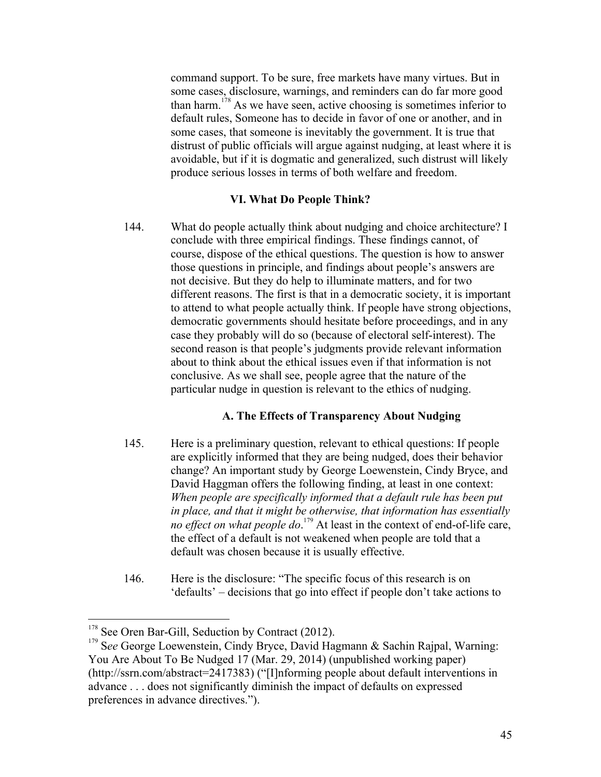command support. To be sure, free markets have many virtues. But in some cases, disclosure, warnings, and reminders can do far more good than harm.<sup>178</sup> As we have seen, active choosing is sometimes inferior to default rules, Someone has to decide in favor of one or another, and in some cases, that someone is inevitably the government. It is true that distrust of public officials will argue against nudging, at least where it is avoidable, but if it is dogmatic and generalized, such distrust will likely produce serious losses in terms of both welfare and freedom.

#### **VI. What Do People Think?**

144. What do people actually think about nudging and choice architecture? I conclude with three empirical findings. These findings cannot, of course, dispose of the ethical questions. The question is how to answer those questions in principle, and findings about people's answers are not decisive. But they do help to illuminate matters, and for two different reasons. The first is that in a democratic society, it is important to attend to what people actually think. If people have strong objections, democratic governments should hesitate before proceedings, and in any case they probably will do so (because of electoral self-interest). The second reason is that people's judgments provide relevant information about to think about the ethical issues even if that information is not conclusive. As we shall see, people agree that the nature of the particular nudge in question is relevant to the ethics of nudging.

## **A. The Effects of Transparency About Nudging**

- 145. Here is a preliminary question, relevant to ethical questions: If people are explicitly informed that they are being nudged, does their behavior change? An important study by George Loewenstein, Cindy Bryce, and David Haggman offers the following finding, at least in one context: *When people are specifically informed that a default rule has been put in place, and that it might be otherwise, that information has essentially no effect on what people do*. <sup>179</sup> At least in the context of end-of-life care, the effect of a default is not weakened when people are told that a default was chosen because it is usually effective.
- 146. Here is the disclosure: "The specific focus of this research is on 'defaults' – decisions that go into effect if people don't take actions to

<sup>&</sup>lt;sup>178</sup> See Oren Bar-Gill, Seduction by Contract (2012).<br><sup>179</sup> See George Loewenstein, Cindy Bryce, David Hagmann & Sachin Rajpal, Warning: You Are About To Be Nudged 17 (Mar. 29, 2014) (unpublished working paper) (http://ssrn.com/abstract=2417383) ("[I]nforming people about default interventions in advance . . . does not significantly diminish the impact of defaults on expressed preferences in advance directives.").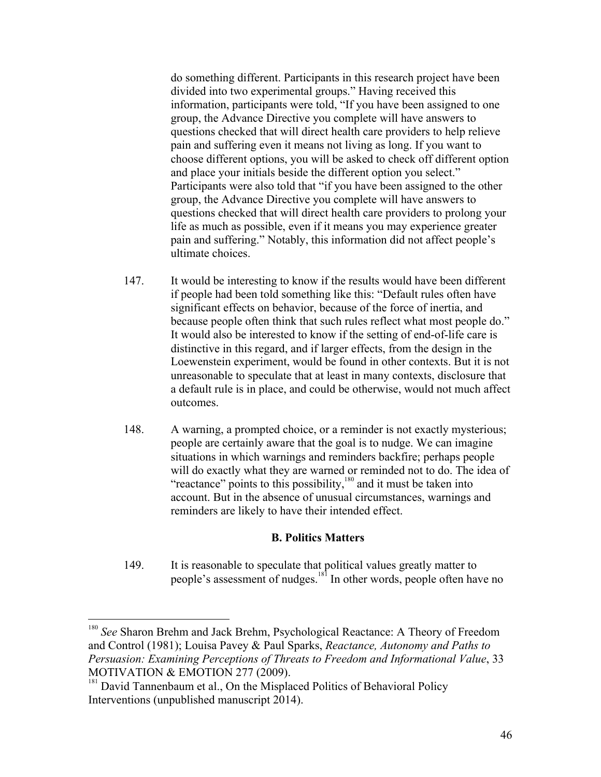do something different. Participants in this research project have been divided into two experimental groups." Having received this information, participants were told, "If you have been assigned to one group, the Advance Directive you complete will have answers to questions checked that will direct health care providers to help relieve pain and suffering even it means not living as long. If you want to choose different options, you will be asked to check off different option and place your initials beside the different option you select." Participants were also told that "if you have been assigned to the other group, the Advance Directive you complete will have answers to questions checked that will direct health care providers to prolong your life as much as possible, even if it means you may experience greater pain and suffering." Notably, this information did not affect people's ultimate choices.

- 147. It would be interesting to know if the results would have been different if people had been told something like this: "Default rules often have significant effects on behavior, because of the force of inertia, and because people often think that such rules reflect what most people do." It would also be interested to know if the setting of end-of-life care is distinctive in this regard, and if larger effects, from the design in the Loewenstein experiment, would be found in other contexts. But it is not unreasonable to speculate that at least in many contexts, disclosure that a default rule is in place, and could be otherwise, would not much affect outcomes.
- 148. A warning, a prompted choice, or a reminder is not exactly mysterious; people are certainly aware that the goal is to nudge. We can imagine situations in which warnings and reminders backfire; perhaps people will do exactly what they are warned or reminded not to do. The idea of "reactance" points to this possibility, $180$  and it must be taken into account. But in the absence of unusual circumstances, warnings and reminders are likely to have their intended effect.

#### **B. Politics Matters**

149. It is reasonable to speculate that political values greatly matter to people's assessment of nudges.<sup>181</sup> In other words, people often have no

<sup>&</sup>lt;sup>180</sup> See Sharon Brehm and Jack Brehm, Psychological Reactance: A Theory of Freedom and Control (1981); Louisa Pavey & Paul Sparks, *Reactance, Autonomy and Paths to Persuasion: Examining Perceptions of Threats to Freedom and Informational Value*, 33 MOTIVATION & EMOTION 277 (2009).

<sup>&</sup>lt;sup>181</sup> David Tannenbaum et al., On the Misplaced Politics of Behavioral Policy Interventions (unpublished manuscript 2014).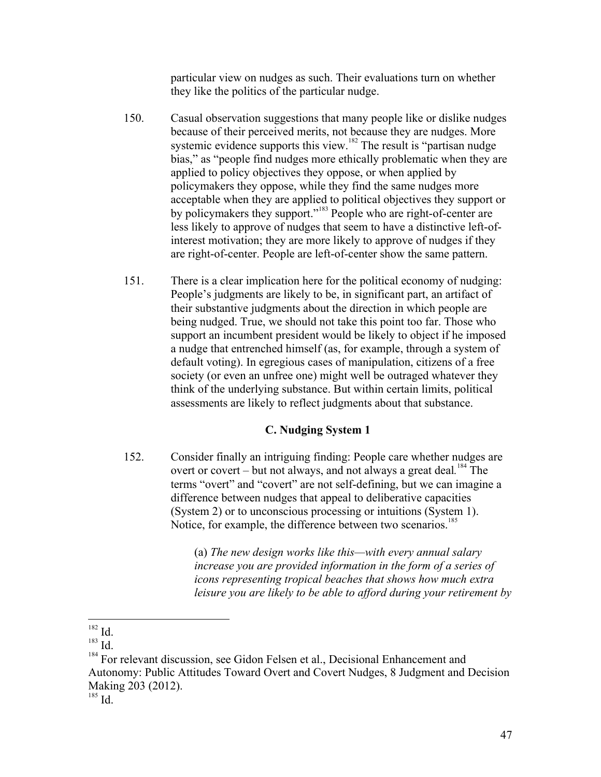particular view on nudges as such. Their evaluations turn on whether they like the politics of the particular nudge.

- 150. Casual observation suggestions that many people like or dislike nudges because of their perceived merits, not because they are nudges. More systemic evidence supports this view.<sup>182</sup> The result is "partisan nudge bias," as "people find nudges more ethically problematic when they are applied to policy objectives they oppose, or when applied by policymakers they oppose, while they find the same nudges more acceptable when they are applied to political objectives they support or by policymakers they support."<sup>183</sup> People who are right-of-center are less likely to approve of nudges that seem to have a distinctive left-ofinterest motivation; they are more likely to approve of nudges if they are right-of-center. People are left-of-center show the same pattern.
- 151. There is a clear implication here for the political economy of nudging: People's judgments are likely to be, in significant part, an artifact of their substantive judgments about the direction in which people are being nudged. True, we should not take this point too far. Those who support an incumbent president would be likely to object if he imposed a nudge that entrenched himself (as, for example, through a system of default voting). In egregious cases of manipulation, citizens of a free society (or even an unfree one) might well be outraged whatever they think of the underlying substance. But within certain limits, political assessments are likely to reflect judgments about that substance.

## **C. Nudging System 1**

152. Consider finally an intriguing finding: People care whether nudges are overt or covert – but not always, and not always a great deal*.* <sup>184</sup> The terms "overt" and "covert" are not self-defining, but we can imagine a difference between nudges that appeal to deliberative capacities (System 2) or to unconscious processing or intuitions (System 1). Notice, for example, the difference between two scenarios.<sup>185</sup>

> (a) *The new design works like this—with every annual salary increase you are provided information in the form of a series of icons representing tropical beaches that shows how much extra leisure you are likely to be able to afford during your retirement by*

 $\frac{182}{183}$  Id.<br><sup>183</sup> Id.<br><sup>184</sup> For relevant discussion, see Gidon Felsen et al., Decisional Enhancement and Autonomy: Public Attitudes Toward Overt and Covert Nudges, 8 Judgment and Decision Making 203 (2012).

 $185$  Id.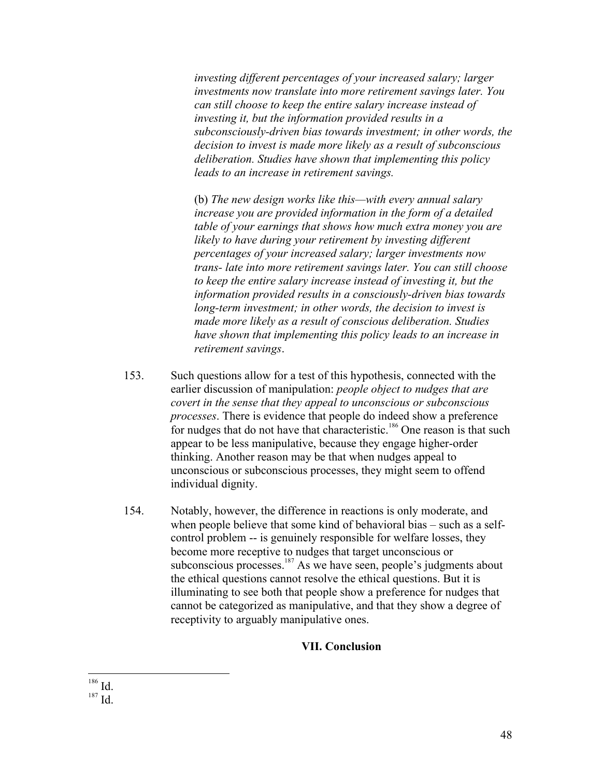*investing different percentages of your increased salary; larger investments now translate into more retirement savings later. You can still choose to keep the entire salary increase instead of investing it, but the information provided results in a subconsciously-driven bias towards investment; in other words, the decision to invest is made more likely as a result of subconscious deliberation. Studies have shown that implementing this policy leads to an increase in retirement savings.* 

(b) *The new design works like this—with every annual salary increase you are provided information in the form of a detailed table of your earnings that shows how much extra money you are likely to have during your retirement by investing different percentages of your increased salary; larger investments now trans- late into more retirement savings later. You can still choose to keep the entire salary increase instead of investing it, but the information provided results in a consciously-driven bias towards long-term investment; in other words, the decision to invest is made more likely as a result of conscious deliberation. Studies have shown that implementing this policy leads to an increase in retirement savings*.

- 153. Such questions allow for a test of this hypothesis, connected with the earlier discussion of manipulation: *people object to nudges that are covert in the sense that they appeal to unconscious or subconscious processes*. There is evidence that people do indeed show a preference for nudges that do not have that characteristic.<sup>186</sup> One reason is that such appear to be less manipulative, because they engage higher-order thinking. Another reason may be that when nudges appeal to unconscious or subconscious processes, they might seem to offend individual dignity.
- 154. Notably, however, the difference in reactions is only moderate, and when people believe that some kind of behavioral bias – such as a selfcontrol problem -- is genuinely responsible for welfare losses, they become more receptive to nudges that target unconscious or subconscious processes.  $187$  As we have seen, people's judgments about the ethical questions cannot resolve the ethical questions. But it is illuminating to see both that people show a preference for nudges that cannot be categorized as manipulative, and that they show a degree of receptivity to arguably manipulative ones.

#### **VII. Conclusion**

 $\frac{186}{187}$  Id.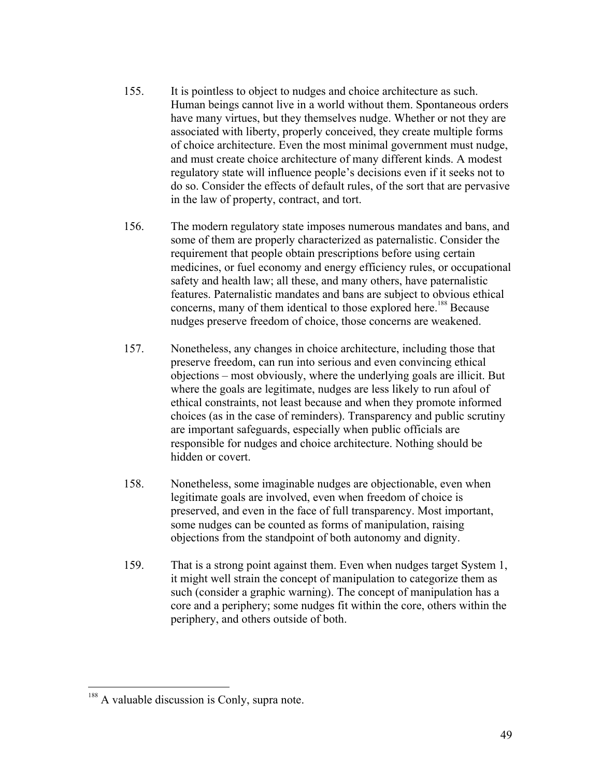- 155. It is pointless to object to nudges and choice architecture as such. Human beings cannot live in a world without them. Spontaneous orders have many virtues, but they themselves nudge. Whether or not they are associated with liberty, properly conceived, they create multiple forms of choice architecture. Even the most minimal government must nudge, and must create choice architecture of many different kinds. A modest regulatory state will influence people's decisions even if it seeks not to do so. Consider the effects of default rules, of the sort that are pervasive in the law of property, contract, and tort.
- 156. The modern regulatory state imposes numerous mandates and bans, and some of them are properly characterized as paternalistic. Consider the requirement that people obtain prescriptions before using certain medicines, or fuel economy and energy efficiency rules, or occupational safety and health law; all these, and many others, have paternalistic features. Paternalistic mandates and bans are subject to obvious ethical concerns, many of them identical to those explored here.<sup>188</sup> Because nudges preserve freedom of choice, those concerns are weakened.
- 157. Nonetheless, any changes in choice architecture, including those that preserve freedom, can run into serious and even convincing ethical objections – most obviously, where the underlying goals are illicit. But where the goals are legitimate, nudges are less likely to run afoul of ethical constraints, not least because and when they promote informed choices (as in the case of reminders). Transparency and public scrutiny are important safeguards, especially when public officials are responsible for nudges and choice architecture. Nothing should be hidden or covert.
- 158. Nonetheless, some imaginable nudges are objectionable, even when legitimate goals are involved, even when freedom of choice is preserved, and even in the face of full transparency. Most important, some nudges can be counted as forms of manipulation, raising objections from the standpoint of both autonomy and dignity.
- 159. That is a strong point against them. Even when nudges target System 1, it might well strain the concept of manipulation to categorize them as such (consider a graphic warning). The concept of manipulation has a core and a periphery; some nudges fit within the core, others within the periphery, and others outside of both.

<sup>&</sup>lt;sup>188</sup> A valuable discussion is Conly, supra note.